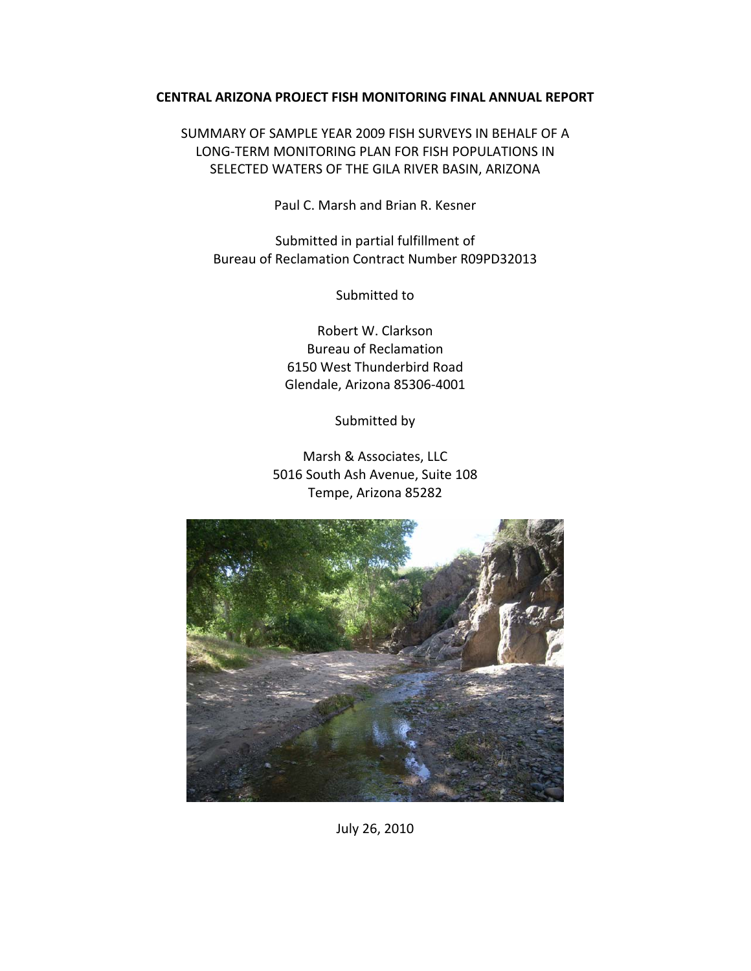#### **CENTRAL ARIZONA PROJECT FISH MONITORING FINAL ANNUAL REPORT**

SUMMARY OF SAMPLE YEAR 2009 FISH SURVEYS IN BEHALF OF A LONG‐TERM MONITORING PLAN FOR FISH POPULATIONS IN SELECTED WATERS OF THE GILA RIVER BASIN, ARIZONA

Paul C. Marsh and Brian R. Kesner

Submitted in partial fulfillment of Bureau of Reclamation Contract Number R09PD32013

Submitted to

Robert W. Clarkson Bureau of Reclamation 6150 West Thunderbird Road Glendale, Arizona 85306‐4001

Submitted by

Marsh & Associates, LLC 5016 South Ash Avenue, Suite 108 Tempe, Arizona 85282



July 26, 2010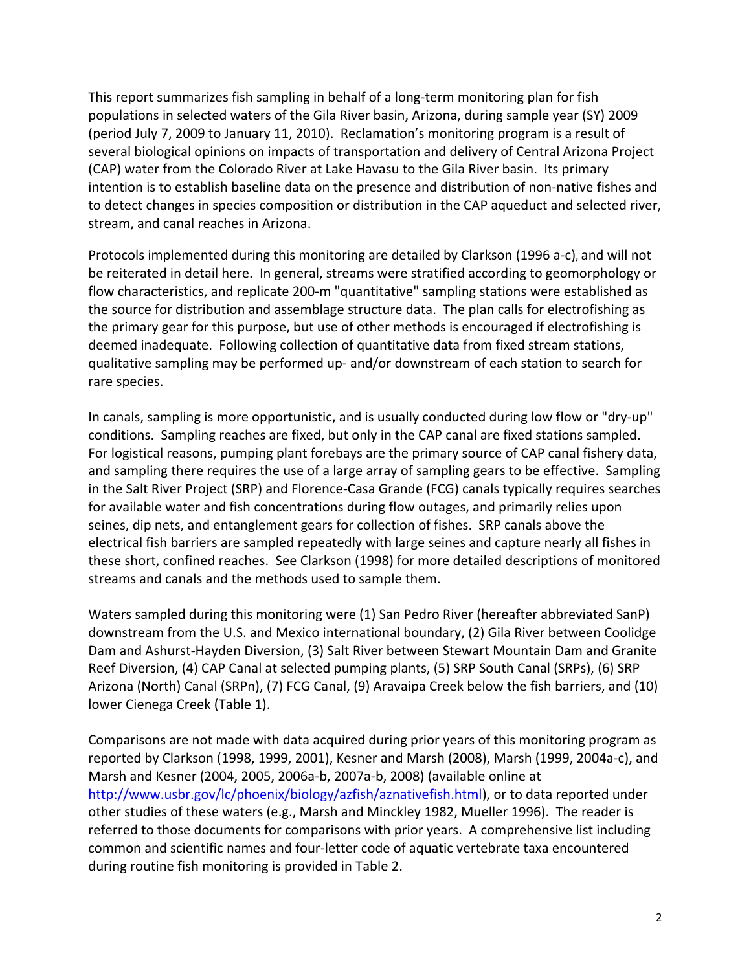This report summarizes fish sampling in behalf of a long‐term monitoring plan for fish populations in selected waters of the Gila River basin, Arizona, during sample year (SY) 2009 (period July 7, 2009 to January 11, 2010). Reclamation's monitoring program is a result of several biological opinions on impacts of transportation and delivery of Central Arizona Project (CAP) water from the Colorado River at Lake Havasu to the Gila River basin. Its primary intention is to establish baseline data on the presence and distribution of non‐native fishes and to detect changes in species composition or distribution in the CAP aqueduct and selected river, stream, and canal reaches in Arizona.

Protocols implemented during this monitoring are detailed by Clarkson (1996 a‐c), and will not be reiterated in detail here. In general, streams were stratified according to geomorphology or flow characteristics, and replicate 200‐m "quantitative" sampling stations were established as the source for distribution and assemblage structure data. The plan calls for electrofishing as the primary gear for this purpose, but use of other methods is encouraged if electrofishing is deemed inadequate. Following collection of quantitative data from fixed stream stations, qualitative sampling may be performed up‐ and/or downstream of each station to search for rare species.

In canals, sampling is more opportunistic, and is usually conducted during low flow or "dry‐up" conditions. Sampling reaches are fixed, but only in the CAP canal are fixed stations sampled. For logistical reasons, pumping plant forebays are the primary source of CAP canal fishery data, and sampling there requires the use of a large array of sampling gears to be effective. Sampling in the Salt River Project (SRP) and Florence‐Casa Grande (FCG) canals typically requires searches for available water and fish concentrations during flow outages, and primarily relies upon seines, dip nets, and entanglement gears for collection of fishes. SRP canals above the electrical fish barriers are sampled repeatedly with large seines and capture nearly all fishes in these short, confined reaches. See Clarkson (1998) for more detailed descriptions of monitored streams and canals and the methods used to sample them.

Waters sampled during this monitoring were (1) San Pedro River (hereafter abbreviated SanP) downstream from the U.S. and Mexico international boundary, (2) Gila River between Coolidge Dam and Ashurst‐Hayden Diversion, (3) Salt River between Stewart Mountain Dam and Granite Reef Diversion, (4) CAP Canal at selected pumping plants, (5) SRP South Canal (SRPs), (6) SRP Arizona (North) Canal (SRPn), (7) FCG Canal, (9) Aravaipa Creek below the fish barriers, and (10) lower Cienega Creek (Table 1).

Comparisons are not made with data acquired during prior years of this monitoring program as reported by Clarkson (1998, 1999, 2001), Kesner and Marsh (2008), Marsh (1999, 2004a‐c), and Marsh and Kesner (2004, 2005, 2006a‐b, 2007a‐b, 2008) (available online at http://www.usbr.gov/lc/phoenix/biology/azfish/aznativefish.html), or to data reported under other studies of these waters (e.g., Marsh and Minckley 1982, Mueller 1996). The reader is referred to those documents for comparisons with prior years. A comprehensive list including common and scientific names and four‐letter code of aquatic vertebrate taxa encountered during routine fish monitoring is provided in Table 2.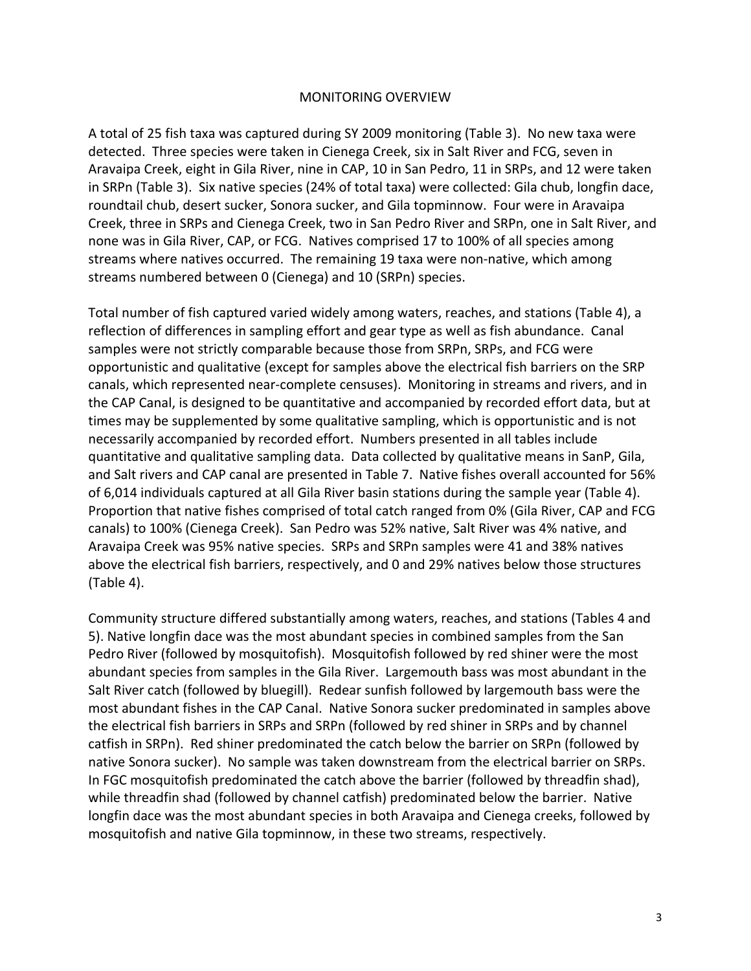#### MONITORING OVERVIEW

A total of 25 fish taxa was captured during SY 2009 monitoring (Table 3). No new taxa were detected. Three species were taken in Cienega Creek, six in Salt River and FCG, seven in Aravaipa Creek, eight in Gila River, nine in CAP, 10 in San Pedro, 11 in SRPs, and 12 were taken in SRPn (Table 3). Six native species (24% of total taxa) were collected: Gila chub, longfin dace, roundtail chub, desert sucker, Sonora sucker, and Gila topminnow. Four were in Aravaipa Creek, three in SRPs and Cienega Creek, two in San Pedro River and SRPn, one in Salt River, and none was in Gila River, CAP, or FCG. Natives comprised 17 to 100% of all species among streams where natives occurred. The remaining 19 taxa were non-native, which among streams numbered between 0 (Cienega) and 10 (SRPn) species.

Total number of fish captured varied widely among waters, reaches, and stations (Table 4), a reflection of differences in sampling effort and gear type as well as fish abundance. Canal samples were not strictly comparable because those from SRPn, SRPs, and FCG were opportunistic and qualitative (except for samples above the electrical fish barriers on the SRP canals, which represented near‐complete censuses). Monitoring in streams and rivers, and in the CAP Canal, is designed to be quantitative and accompanied by recorded effort data, but at times may be supplemented by some qualitative sampling, which is opportunistic and is not necessarily accompanied by recorded effort. Numbers presented in all tables include quantitative and qualitative sampling data. Data collected by qualitative means in SanP, Gila, and Salt rivers and CAP canal are presented in Table 7. Native fishes overall accounted for 56% of 6,014 individuals captured at all Gila River basin stations during the sample year (Table 4). Proportion that native fishes comprised of total catch ranged from 0% (Gila River, CAP and FCG canals) to 100% (Cienega Creek). San Pedro was 52% native, Salt River was 4% native, and Aravaipa Creek was 95% native species. SRPs and SRPn samples were 41 and 38% natives above the electrical fish barriers, respectively, and 0 and 29% natives below those structures (Table 4).

Community structure differed substantially among waters, reaches, and stations (Tables 4 and 5). Native longfin dace was the most abundant species in combined samples from the San Pedro River (followed by mosquitofish). Mosquitofish followed by red shiner were the most abundant species from samples in the Gila River. Largemouth bass was most abundant in the Salt River catch (followed by bluegill). Redear sunfish followed by largemouth bass were the most abundant fishes in the CAP Canal. Native Sonora sucker predominated in samples above the electrical fish barriers in SRPs and SRPn (followed by red shiner in SRPs and by channel catfish in SRPn). Red shiner predominated the catch below the barrier on SRPn (followed by native Sonora sucker). No sample was taken downstream from the electrical barrier on SRPs. In FGC mosquitofish predominated the catch above the barrier (followed by threadfin shad), while threadfin shad (followed by channel catfish) predominated below the barrier. Native longfin dace was the most abundant species in both Aravaipa and Cienega creeks, followed by mosquitofish and native Gila topminnow, in these two streams, respectively.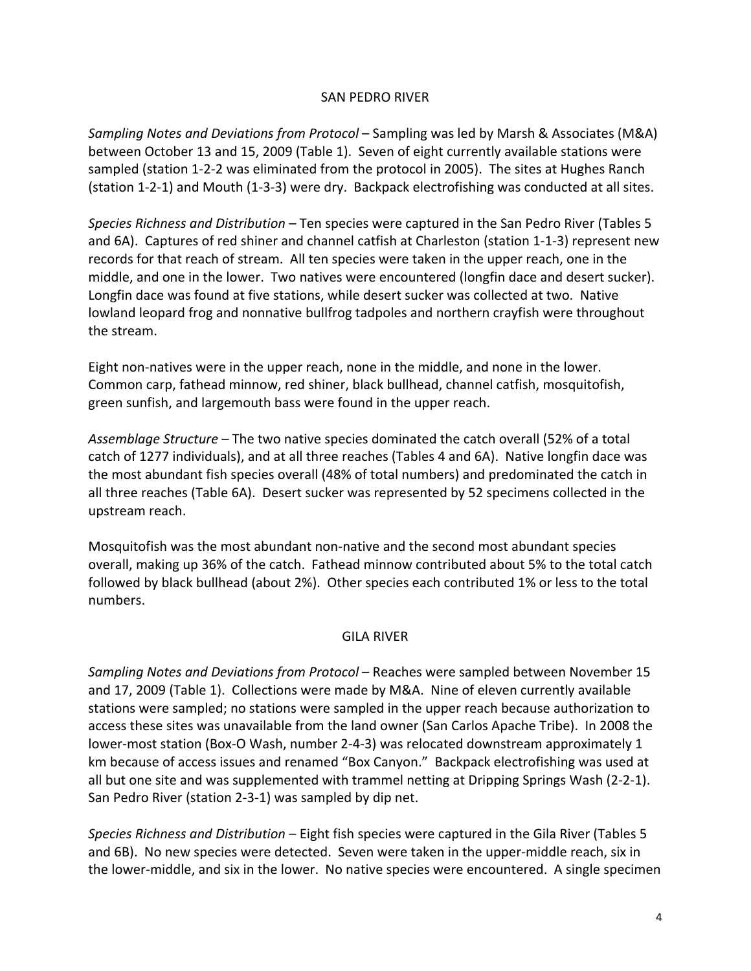#### SAN PEDRO RIVER

*Sampling Notes and Deviations from Protocol* – Sampling was led by Marsh & Associates (M&A) between October 13 and 15, 2009 (Table 1). Seven of eight currently available stations were sampled (station 1-2-2 was eliminated from the protocol in 2005). The sites at Hughes Ranch (station 1‐2‐1) and Mouth (1‐3‐3) were dry. Backpack electrofishing was conducted at all sites.

*Species Richness and Distribution* – Ten species were captured in the San Pedro River (Tables 5 and 6A). Captures of red shiner and channel catfish at Charleston (station 1-1-3) represent new records for that reach of stream. All ten species were taken in the upper reach, one in the middle, and one in the lower. Two natives were encountered (longfin dace and desert sucker). Longfin dace was found at five stations, while desert sucker was collected at two. Native lowland leopard frog and nonnative bullfrog tadpoles and northern crayfish were throughout the stream.

Eight non‐natives were in the upper reach, none in the middle, and none in the lower. Common carp, fathead minnow, red shiner, black bullhead, channel catfish, mosquitofish, green sunfish, and largemouth bass were found in the upper reach.

*Assemblage Structure* – The two native species dominated the catch overall (52% of a total catch of 1277 individuals), and at all three reaches (Tables 4 and 6A). Native longfin dace was the most abundant fish species overall (48% of total numbers) and predominated the catch in all three reaches (Table 6A). Desert sucker was represented by 52 specimens collected in the upstream reach.

Mosquitofish was the most abundant non‐native and the second most abundant species overall, making up 36% of the catch. Fathead minnow contributed about 5% to the total catch followed by black bullhead (about 2%). Other species each contributed 1% or less to the total numbers.

#### GILA RIVER

*Sampling Notes and Deviations from Protocol* – Reaches were sampled between November 15 and 17, 2009 (Table 1). Collections were made by M&A. Nine of eleven currently available stations were sampled; no stations were sampled in the upper reach because authorization to access these sites was unavailable from the land owner (San Carlos Apache Tribe). In 2008 the lower‐most station (Box‐O Wash, number 2‐4‐3) was relocated downstream approximately 1 km because of access issues and renamed "Box Canyon." Backpack electrofishing was used at all but one site and was supplemented with trammel netting at Dripping Springs Wash (2‐2‐1). San Pedro River (station 2‐3‐1) was sampled by dip net.

*Species Richness and Distribution* – Eight fish species were captured in the Gila River (Tables 5 and 6B). No new species were detected. Seven were taken in the upper‐middle reach, six in the lower-middle, and six in the lower. No native species were encountered. A single specimen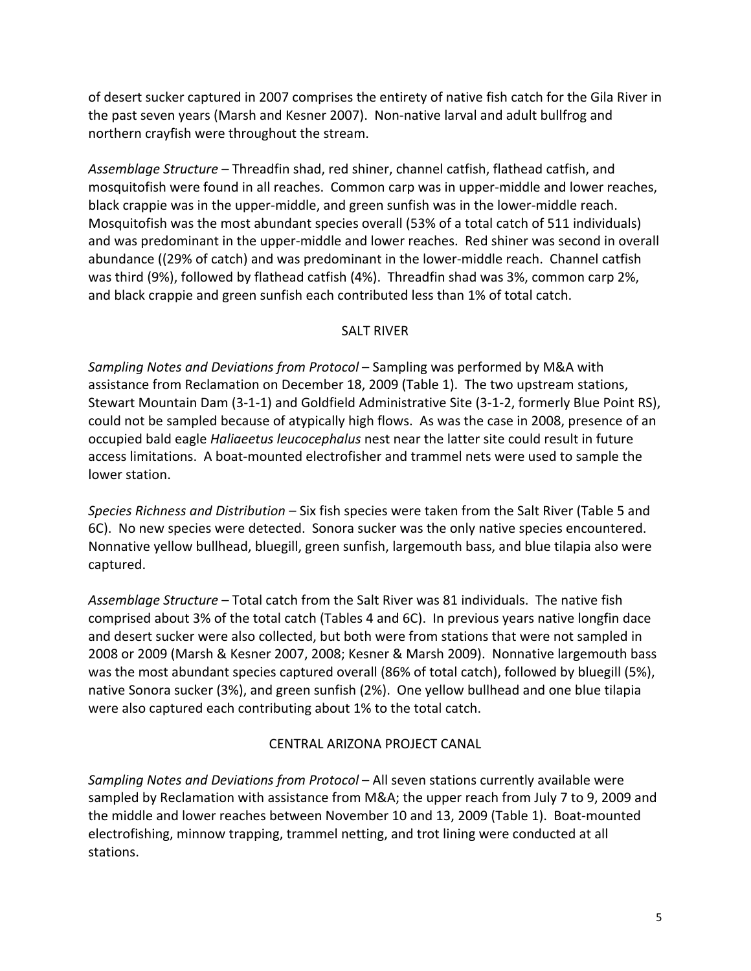of desert sucker captured in 2007 comprises the entirety of native fish catch for the Gila River in the past seven years (Marsh and Kesner 2007). Non‐native larval and adult bullfrog and northern crayfish were throughout the stream.

*Assemblage Structure* – Threadfin shad, red shiner, channel catfish, flathead catfish, and mosquitofish were found in all reaches. Common carp was in upper-middle and lower reaches, black crappie was in the upper‐middle, and green sunfish was in the lower‐middle reach. Mosquitofish was the most abundant species overall (53% of a total catch of 511 individuals) and was predominant in the upper‐middle and lower reaches. Red shiner was second in overall abundance ((29% of catch) and was predominant in the lower-middle reach. Channel catfish was third (9%), followed by flathead catfish (4%). Threadfin shad was 3%, common carp 2%, and black crappie and green sunfish each contributed less than 1% of total catch.

## SALT RIVER

*Sampling Notes and Deviations from Protocol* – Sampling was performed by M&A with assistance from Reclamation on December 18, 2009 (Table 1). The two upstream stations, Stewart Mountain Dam (3‐1‐1) and Goldfield Administrative Site (3‐1‐2, formerly Blue Point RS), could not be sampled because of atypically high flows. As was the case in 2008, presence of an occupied bald eagle *Haliaeetus leucocephalus* nest near the latter site could result in future access limitations. A boat‐mounted electrofisher and trammel nets were used to sample the lower station.

*Species Richness and Distribution* – Six fish species were taken from the Salt River (Table 5 and 6C). No new species were detected. Sonora sucker was the only native species encountered. Nonnative yellow bullhead, bluegill, green sunfish, largemouth bass, and blue tilapia also were captured.

*Assemblage Structure* – Total catch from the Salt River was 81 individuals. The native fish comprised about 3% of the total catch (Tables 4 and 6C). In previous years native longfin dace and desert sucker were also collected, but both were from stations that were not sampled in 2008 or 2009 (Marsh & Kesner 2007, 2008; Kesner & Marsh 2009). Nonnative largemouth bass was the most abundant species captured overall (86% of total catch), followed by bluegill (5%), native Sonora sucker (3%), and green sunfish (2%). One yellow bullhead and one blue tilapia were also captured each contributing about 1% to the total catch.

## CENTRAL ARIZONA PROJECT CANAL

*Sampling Notes and Deviations from Protocol* – All seven stations currently available were sampled by Reclamation with assistance from M&A; the upper reach from July 7 to 9, 2009 and the middle and lower reaches between November 10 and 13, 2009 (Table 1). Boat-mounted electrofishing, minnow trapping, trammel netting, and trot lining were conducted at all stations.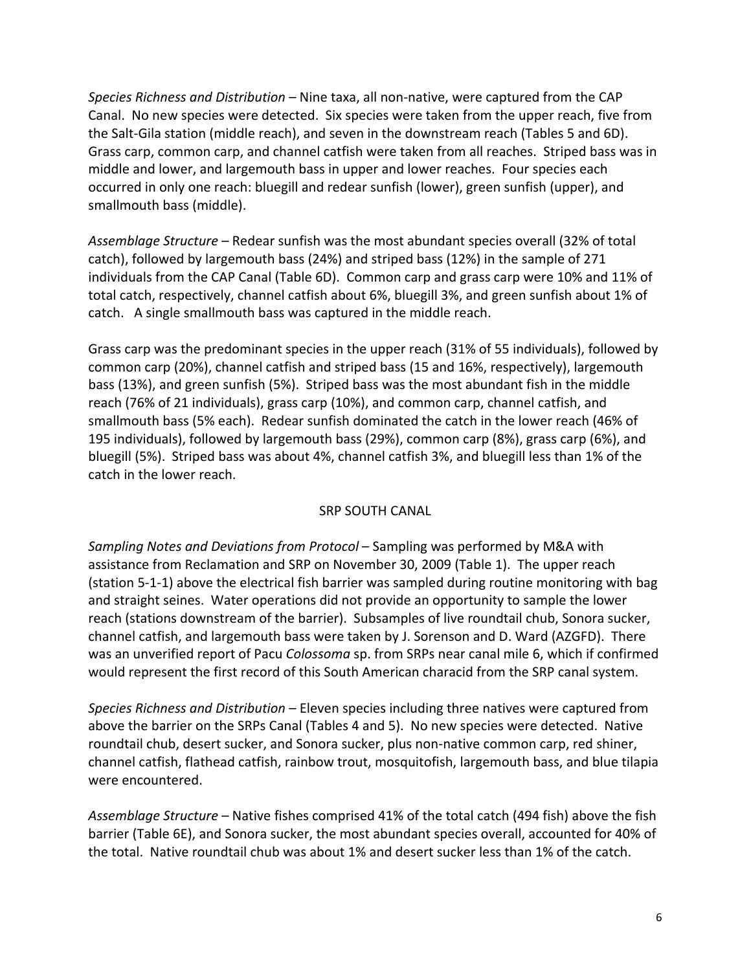*Species Richness and Distribution* – Nine taxa, all non‐native, were captured from the CAP Canal. No new species were detected. Six species were taken from the upper reach, five from the Salt‐Gila station (middle reach), and seven in the downstream reach (Tables 5 and 6D). Grass carp, common carp, and channel catfish were taken from all reaches. Striped bass was in middle and lower, and largemouth bass in upper and lower reaches. Four species each occurred in only one reach: bluegill and redear sunfish (lower), green sunfish (upper), and smallmouth bass (middle).

*Assemblage Structure* – Redear sunfish was the most abundant species overall (32% of total catch), followed by largemouth bass (24%) and striped bass (12%) in the sample of 271 individuals from the CAP Canal (Table 6D). Common carp and grass carp were 10% and 11% of total catch, respectively, channel catfish about 6%, bluegill 3%, and green sunfish about 1% of catch. A single smallmouth bass was captured in the middle reach.

Grass carp was the predominant species in the upper reach (31% of 55 individuals), followed by common carp (20%), channel catfish and striped bass (15 and 16%, respectively), largemouth bass (13%), and green sunfish (5%). Striped bass was the most abundant fish in the middle reach (76% of 21 individuals), grass carp (10%), and common carp, channel catfish, and smallmouth bass (5% each). Redear sunfish dominated the catch in the lower reach (46% of 195 individuals), followed by largemouth bass (29%), common carp (8%), grass carp (6%), and bluegill (5%). Striped bass was about 4%, channel catfish 3%, and bluegill less than 1% of the catch in the lower reach.

#### SRP SOUTH CANAL

*Sampling Notes and Deviations from Protocol* – Sampling was performed by M&A with assistance from Reclamation and SRP on November 30, 2009 (Table 1). The upper reach (station 5‐1‐1) above the electrical fish barrier was sampled during routine monitoring with bag and straight seines. Water operations did not provide an opportunity to sample the lower reach (stations downstream of the barrier). Subsamples of live roundtail chub, Sonora sucker, channel catfish, and largemouth bass were taken by J. Sorenson and D. Ward (AZGFD). There was an unverified report of Pacu *Colossoma* sp. from SRPs near canal mile 6, which if confirmed would represent the first record of this South American characid from the SRP canal system.

*Species Richness and Distribution* – Eleven species including three natives were captured from above the barrier on the SRPs Canal (Tables 4 and 5). No new species were detected. Native roundtail chub, desert sucker, and Sonora sucker, plus non‐native common carp, red shiner, channel catfish, flathead catfish, rainbow trout, mosquitofish, largemouth bass, and blue tilapia were encountered.

*Assemblage Structure* – Native fishes comprised 41% of the total catch (494 fish) above the fish barrier (Table 6E), and Sonora sucker, the most abundant species overall, accounted for 40% of the total. Native roundtail chub was about 1% and desert sucker less than 1% of the catch.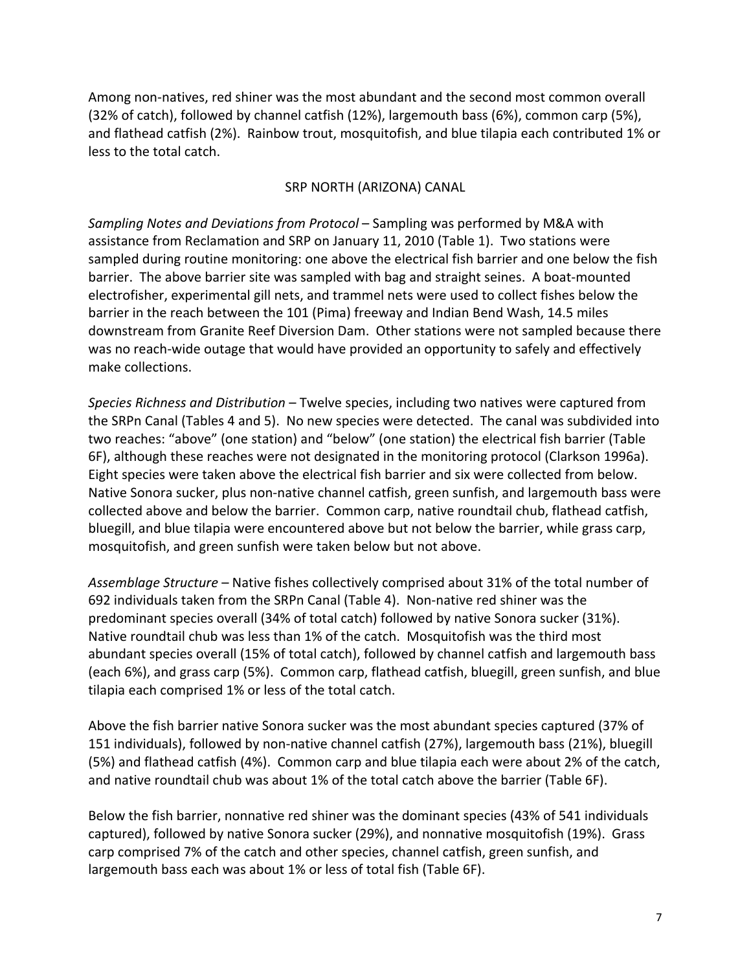Among non‐natives, red shiner was the most abundant and the second most common overall (32% of catch), followed by channel catfish (12%), largemouth bass (6%), common carp (5%), and flathead catfish (2%). Rainbow trout, mosquitofish, and blue tilapia each contributed 1% or less to the total catch.

## SRP NORTH (ARIZONA) CANAL

*Sampling Notes and Deviations from Protocol* – Sampling was performed by M&A with assistance from Reclamation and SRP on January 11, 2010 (Table 1). Two stations were sampled during routine monitoring: one above the electrical fish barrier and one below the fish barrier. The above barrier site was sampled with bag and straight seines. A boat-mounted electrofisher, experimental gill nets, and trammel nets were used to collect fishes below the barrier in the reach between the 101 (Pima) freeway and Indian Bend Wash, 14.5 miles downstream from Granite Reef Diversion Dam. Other stations were not sampled because there was no reach-wide outage that would have provided an opportunity to safely and effectively make collections.

*Species Richness and Distribution* – Twelve species, including two natives were captured from the SRPn Canal (Tables 4 and 5). No new species were detected. The canal was subdivided into two reaches: "above" (one station) and "below" (one station) the electrical fish barrier (Table 6F), although these reaches were not designated in the monitoring protocol (Clarkson 1996a). Eight species were taken above the electrical fish barrier and six were collected from below. Native Sonora sucker, plus non‐native channel catfish, green sunfish, and largemouth bass were collected above and below the barrier. Common carp, native roundtail chub, flathead catfish, bluegill, and blue tilapia were encountered above but not below the barrier, while grass carp, mosquitofish, and green sunfish were taken below but not above.

*Assemblage Structure* – Native fishes collectively comprised about 31% of the total number of 692 individuals taken from the SRPn Canal (Table 4). Non‐native red shiner was the predominant species overall (34% of total catch) followed by native Sonora sucker (31%). Native roundtail chub was less than 1% of the catch. Mosquitofish was the third most abundant species overall (15% of total catch), followed by channel catfish and largemouth bass (each 6%), and grass carp (5%). Common carp, flathead catfish, bluegill, green sunfish, and blue tilapia each comprised 1% or less of the total catch.

Above the fish barrier native Sonora sucker was the most abundant species captured (37% of 151 individuals), followed by non‐native channel catfish (27%), largemouth bass (21%), bluegill (5%) and flathead catfish (4%). Common carp and blue tilapia each were about 2% of the catch, and native roundtail chub was about 1% of the total catch above the barrier (Table 6F).

Below the fish barrier, nonnative red shiner was the dominant species (43% of 541 individuals captured), followed by native Sonora sucker (29%), and nonnative mosquitofish (19%). Grass carp comprised 7% of the catch and other species, channel catfish, green sunfish, and largemouth bass each was about 1% or less of total fish (Table 6F).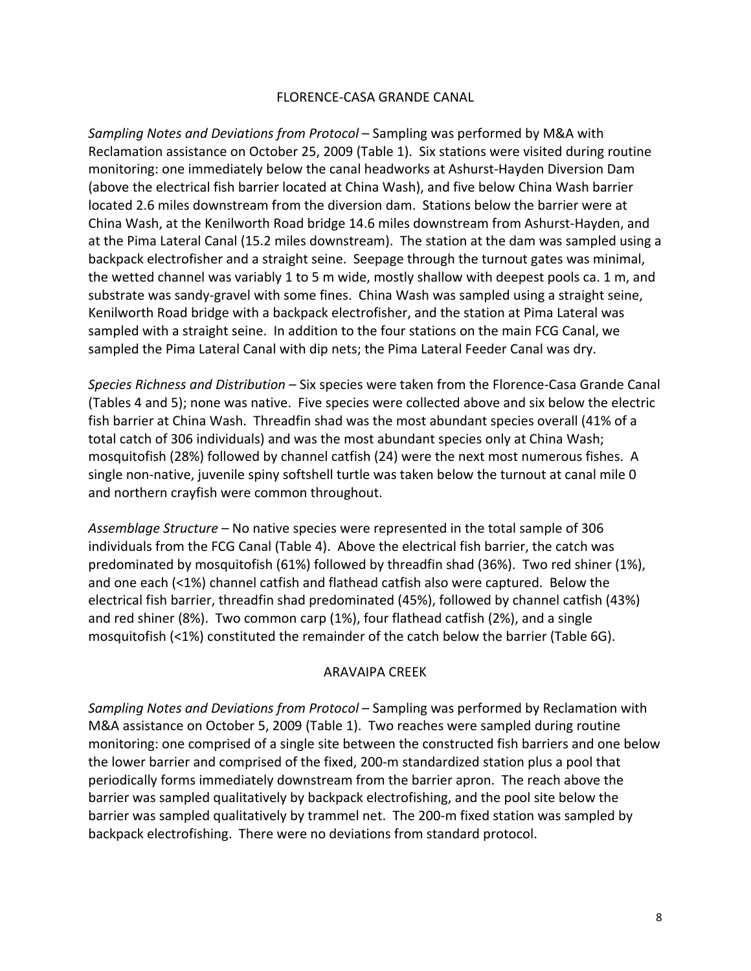#### FLORENCE‐CASA GRANDE CANAL

*Sampling Notes and Deviations from Protocol* – Sampling was performed by M&A with Reclamation assistance on October 25, 2009 (Table 1). Six stations were visited during routine monitoring: one immediately below the canal headworks at Ashurst‐Hayden Diversion Dam (above the electrical fish barrier located at China Wash), and five below China Wash barrier located 2.6 miles downstream from the diversion dam. Stations below the barrier were at China Wash, at the Kenilworth Road bridge 14.6 miles downstream from Ashurst‐Hayden, and at the Pima Lateral Canal (15.2 miles downstream). The station at the dam was sampled using a backpack electrofisher and a straight seine. Seepage through the turnout gates was minimal, the wetted channel was variably 1 to 5 m wide, mostly shallow with deepest pools ca. 1 m, and substrate was sandy‐gravel with some fines. China Wash was sampled using a straight seine, Kenilworth Road bridge with a backpack electrofisher, and the station at Pima Lateral was sampled with a straight seine. In addition to the four stations on the main FCG Canal, we sampled the Pima Lateral Canal with dip nets; the Pima Lateral Feeder Canal was dry.

*Species Richness and Distribution* – Six species were taken from the Florence‐Casa Grande Canal (Tables 4 and 5); none was native. Five species were collected above and six below the electric fish barrier at China Wash. Threadfin shad was the most abundant species overall (41% of a total catch of 306 individuals) and was the most abundant species only at China Wash; mosquitofish (28%) followed by channel catfish (24) were the next most numerous fishes. A single non-native, juvenile spiny softshell turtle was taken below the turnout at canal mile 0 and northern crayfish were common throughout.

*Assemblage Structure* – No native species were represented in the total sample of 306 individuals from the FCG Canal (Table 4). Above the electrical fish barrier, the catch was predominated by mosquitofish (61%) followed by threadfin shad (36%). Two red shiner (1%), and one each (<1%) channel catfish and flathead catfish also were captured. Below the electrical fish barrier, threadfin shad predominated (45%), followed by channel catfish (43%) and red shiner (8%). Two common carp (1%), four flathead catfish (2%), and a single mosquitofish (<1%) constituted the remainder of the catch below the barrier (Table 6G).

#### ARAVAIPA CREEK

*Sampling Notes and Deviations from Protocol* – Sampling was performed by Reclamation with M&A assistance on October 5, 2009 (Table 1). Two reaches were sampled during routine monitoring: one comprised of a single site between the constructed fish barriers and one below the lower barrier and comprised of the fixed, 200‐m standardized station plus a pool that periodically forms immediately downstream from the barrier apron. The reach above the barrier was sampled qualitatively by backpack electrofishing, and the pool site below the barrier was sampled qualitatively by trammel net. The 200‐m fixed station was sampled by backpack electrofishing. There were no deviations from standard protocol.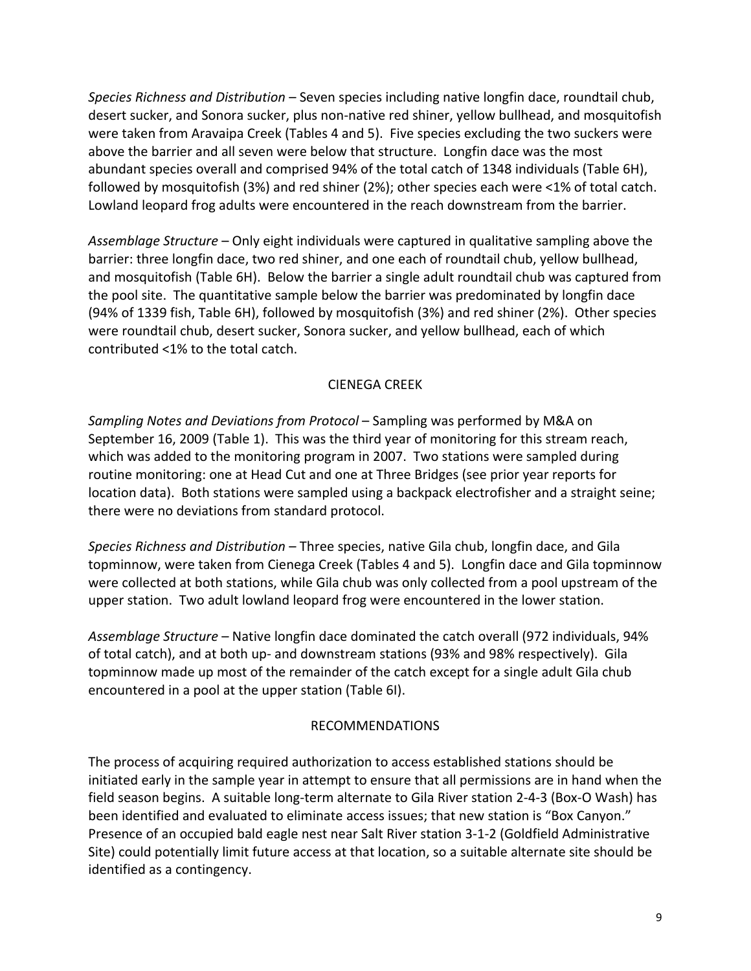*Species Richness and Distribution* – Seven species including native longfin dace, roundtail chub, desert sucker, and Sonora sucker, plus non-native red shiner, yellow bullhead, and mosquitofish were taken from Aravaipa Creek (Tables 4 and 5). Five species excluding the two suckers were above the barrier and all seven were below that structure. Longfin dace was the most abundant species overall and comprised 94% of the total catch of 1348 individuals (Table 6H), followed by mosquitofish (3%) and red shiner (2%); other species each were <1% of total catch. Lowland leopard frog adults were encountered in the reach downstream from the barrier.

*Assemblage Structure* – Only eight individuals were captured in qualitative sampling above the barrier: three longfin dace, two red shiner, and one each of roundtail chub, yellow bullhead, and mosquitofish (Table 6H). Below the barrier a single adult roundtail chub was captured from the pool site. The quantitative sample below the barrier was predominated by longfin dace (94% of 1339 fish, Table 6H), followed by mosquitofish (3%) and red shiner (2%). Other species were roundtail chub, desert sucker, Sonora sucker, and yellow bullhead, each of which contributed <1% to the total catch.

## CIENEGA CREEK

*Sampling Notes and Deviations from Protocol* – Sampling was performed by M&A on September 16, 2009 (Table 1). This was the third year of monitoring for this stream reach, which was added to the monitoring program in 2007. Two stations were sampled during routine monitoring: one at Head Cut and one at Three Bridges (see prior year reports for location data). Both stations were sampled using a backpack electrofisher and a straight seine; there were no deviations from standard protocol.

*Species Richness and Distribution* – Three species, native Gila chub, longfin dace, and Gila topminnow, were taken from Cienega Creek (Tables 4 and 5). Longfin dace and Gila topminnow were collected at both stations, while Gila chub was only collected from a pool upstream of the upper station. Two adult lowland leopard frog were encountered in the lower station.

*Assemblage Structure* – Native longfin dace dominated the catch overall (972 individuals, 94% of total catch), and at both up‐ and downstream stations (93% and 98% respectively). Gila topminnow made up most of the remainder of the catch except for a single adult Gila chub encountered in a pool at the upper station (Table 6I).

## RECOMMENDATIONS

The process of acquiring required authorization to access established stations should be initiated early in the sample year in attempt to ensure that all permissions are in hand when the field season begins. A suitable long‐term alternate to Gila River station 2‐4‐3 (Box‐O Wash) has been identified and evaluated to eliminate access issues; that new station is "Box Canyon." Presence of an occupied bald eagle nest near Salt River station 3‐1‐2 (Goldfield Administrative Site) could potentially limit future access at that location, so a suitable alternate site should be identified as a contingency.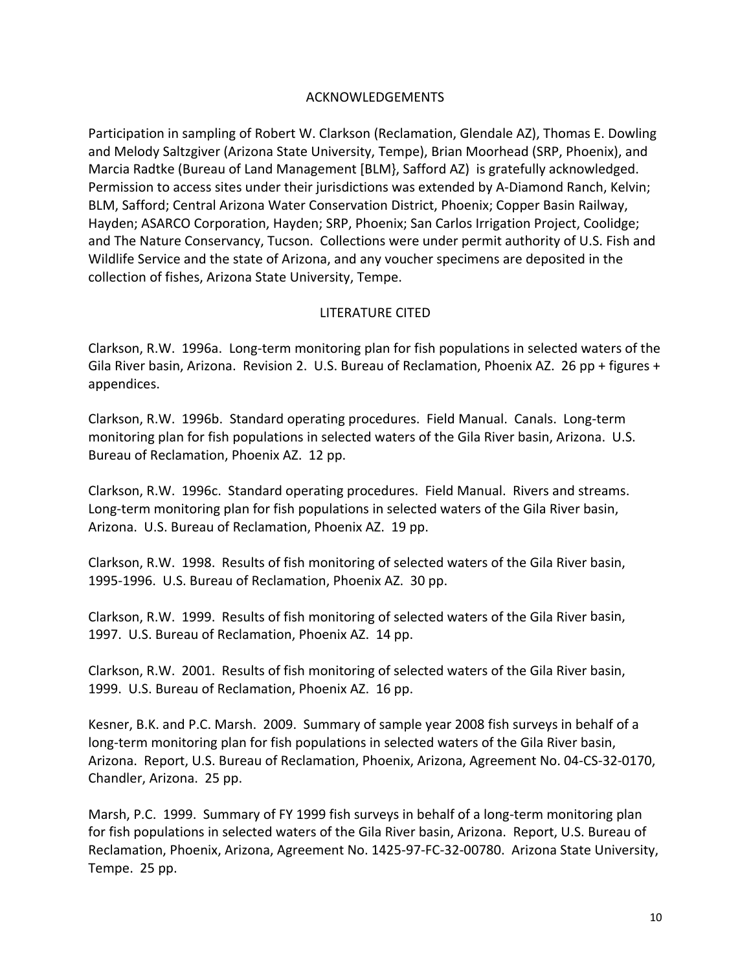### ACKNOWLEDGEMENTS

Participation in sampling of Robert W. Clarkson (Reclamation, Glendale AZ), Thomas E. Dowling and Melody Saltzgiver (Arizona State University, Tempe), Brian Moorhead (SRP, Phoenix), and Marcia Radtke (Bureau of Land Management [BLM}, Safford AZ) is gratefully acknowledged. Permission to access sites under their jurisdictions was extended by A‐Diamond Ranch, Kelvin; BLM, Safford; Central Arizona Water Conservation District, Phoenix; Copper Basin Railway, Hayden; ASARCO Corporation, Hayden; SRP, Phoenix; San Carlos Irrigation Project, Coolidge; and The Nature Conservancy, Tucson. Collections were under permit authority of U.S. Fish and Wildlife Service and the state of Arizona, and any voucher specimens are deposited in the collection of fishes, Arizona State University, Tempe.

### LITERATURE CITED

Clarkson, R.W. 1996a. Long‐term monitoring plan for fish populations in selected waters of the Gila River basin, Arizona. Revision 2. U.S. Bureau of Reclamation, Phoenix AZ. 26 pp + figures + appendices.

Clarkson, R.W. 1996b. Standard operating procedures. Field Manual. Canals. Long‐term monitoring plan for fish populations in selected waters of the Gila River basin, Arizona. U.S. Bureau of Reclamation, Phoenix AZ. 12 pp.

Clarkson, R.W. 1996c. Standard operating procedures. Field Manual. Rivers and streams. Long-term monitoring plan for fish populations in selected waters of the Gila River basin, Arizona. U.S. Bureau of Reclamation, Phoenix AZ. 19 pp.

Clarkson, R.W. 1998. Results of fish monitoring of selected waters of the Gila River basin, 1995‐1996. U.S. Bureau of Reclamation, Phoenix AZ. 30 pp.

Clarkson, R.W. 1999. Results of fish monitoring of selected waters of the Gila River basin, 1997. U.S. Bureau of Reclamation, Phoenix AZ. 14 pp.

Clarkson, R.W. 2001. Results of fish monitoring of selected waters of the Gila River basin, 1999. U.S. Bureau of Reclamation, Phoenix AZ. 16 pp.

Kesner, B.K. and P.C. Marsh. 2009. Summary of sample year 2008 fish surveys in behalf of a long-term monitoring plan for fish populations in selected waters of the Gila River basin, Arizona. Report, U.S. Bureau of Reclamation, Phoenix, Arizona, Agreement No. 04‐CS‐32‐0170, Chandler, Arizona. 25 pp.

Marsh, P.C. 1999. Summary of FY 1999 fish surveys in behalf of a long-term monitoring plan for fish populations in selected waters of the Gila River basin, Arizona. Report, U.S. Bureau of Reclamation, Phoenix, Arizona, Agreement No. 1425‐97‐FC‐32‐00780. Arizona State University, Tempe. 25 pp.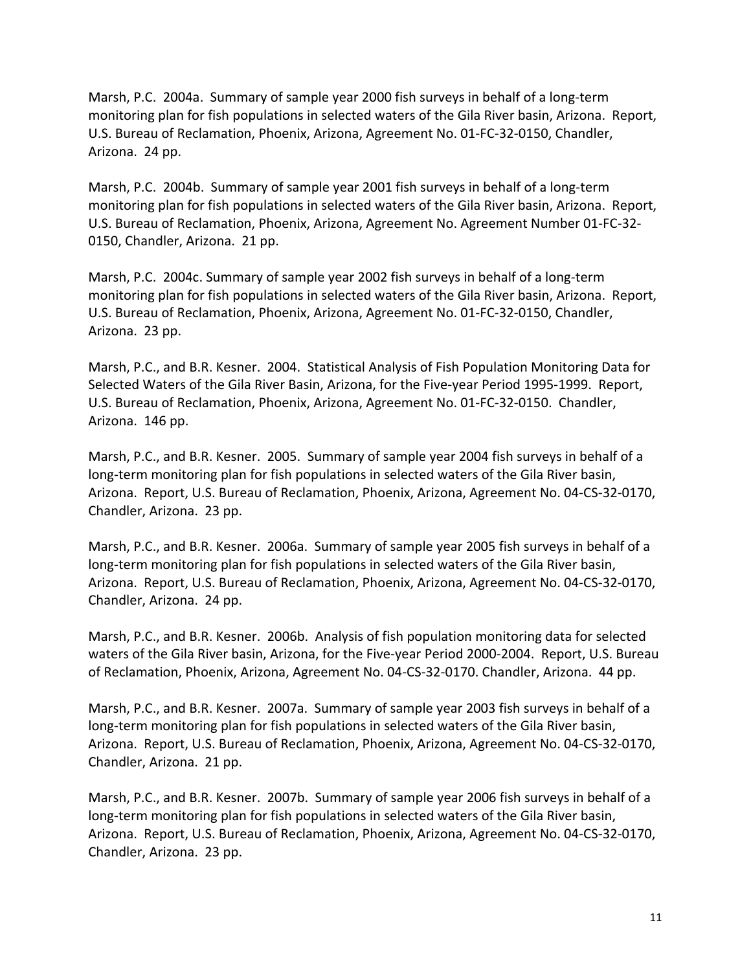Marsh, P.C. 2004a. Summary of sample year 2000 fish surveys in behalf of a long‐term monitoring plan for fish populations in selected waters of the Gila River basin, Arizona. Report, U.S. Bureau of Reclamation, Phoenix, Arizona, Agreement No. 01‐FC‐32‐0150, Chandler, Arizona. 24 pp.

Marsh, P.C. 2004b. Summary of sample year 2001 fish surveys in behalf of a long‐term monitoring plan for fish populations in selected waters of the Gila River basin, Arizona. Report, U.S. Bureau of Reclamation, Phoenix, Arizona, Agreement No. Agreement Number 01‐FC‐32‐ 0150, Chandler, Arizona. 21 pp.

Marsh, P.C. 2004c. Summary of sample year 2002 fish surveys in behalf of a long‐term monitoring plan for fish populations in selected waters of the Gila River basin, Arizona. Report, U.S. Bureau of Reclamation, Phoenix, Arizona, Agreement No. 01‐FC‐32‐0150, Chandler, Arizona. 23 pp.

Marsh, P.C., and B.R. Kesner. 2004. Statistical Analysis of Fish Population Monitoring Data for Selected Waters of the Gila River Basin, Arizona, for the Five‐year Period 1995‐1999. Report, U.S. Bureau of Reclamation, Phoenix, Arizona, Agreement No. 01‐FC‐32‐0150. Chandler, Arizona. 146 pp.

Marsh, P.C., and B.R. Kesner. 2005. Summary of sample year 2004 fish surveys in behalf of a long-term monitoring plan for fish populations in selected waters of the Gila River basin, Arizona. Report, U.S. Bureau of Reclamation, Phoenix, Arizona, Agreement No. 04‐CS‐32‐0170, Chandler, Arizona. 23 pp.

Marsh, P.C., and B.R. Kesner. 2006a. Summary of sample year 2005 fish surveys in behalf of a long-term monitoring plan for fish populations in selected waters of the Gila River basin, Arizona. Report, U.S. Bureau of Reclamation, Phoenix, Arizona, Agreement No. 04‐CS‐32‐0170, Chandler, Arizona. 24 pp.

Marsh, P.C., and B.R. Kesner. 2006b. Analysis of fish population monitoring data for selected waters of the Gila River basin, Arizona, for the Five‐year Period 2000‐2004.Report, U.S. Bureau of Reclamation, Phoenix, Arizona, Agreement No. 04‐CS‐32‐0170. Chandler, Arizona. 44 pp.

Marsh, P.C., and B.R. Kesner. 2007a. Summary of sample year 2003 fish surveys in behalf of a long-term monitoring plan for fish populations in selected waters of the Gila River basin, Arizona. Report, U.S. Bureau of Reclamation, Phoenix, Arizona, Agreement No. 04‐CS‐32‐0170, Chandler, Arizona. 21 pp.

Marsh, P.C., and B.R. Kesner. 2007b. Summary of sample year 2006 fish surveys in behalf of a long-term monitoring plan for fish populations in selected waters of the Gila River basin, Arizona. Report, U.S. Bureau of Reclamation, Phoenix, Arizona, Agreement No. 04‐CS‐32‐0170, Chandler, Arizona. 23 pp.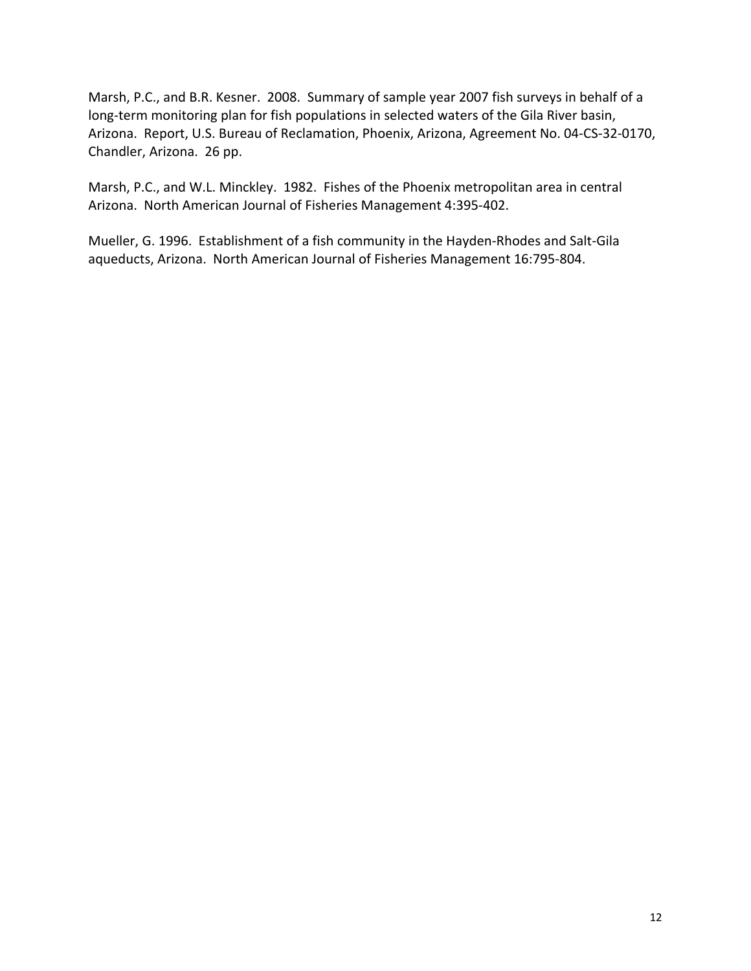Marsh, P.C., and B.R. Kesner. 2008. Summary of sample year 2007 fish surveys in behalf of a long-term monitoring plan for fish populations in selected waters of the Gila River basin, Arizona. Report, U.S. Bureau of Reclamation, Phoenix, Arizona, Agreement No. 04‐CS‐32‐0170, Chandler, Arizona. 26 pp.

Marsh, P.C., and W.L. Minckley. 1982. Fishes of the Phoenix metropolitan area in central Arizona. North American Journal of Fisheries Management 4:395‐402.

Mueller, G. 1996. Establishment of a fish community in the Hayden‐Rhodes and Salt‐Gila aqueducts, Arizona. North American Journal of Fisheries Management 16:795‐804.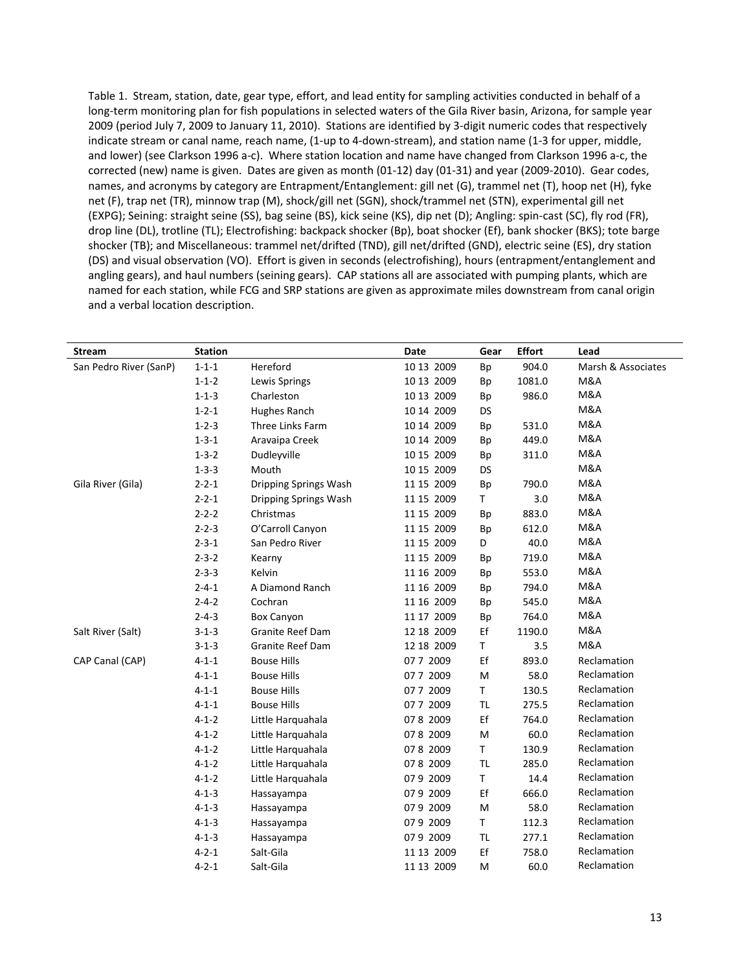Table 1. Stream, station, date, gear type, effort, and lead entity for sampling activities conducted in behalf of a long‐term monitoring plan for fish populations in selected waters of the Gila River basin, Arizona, for sample year 2009 (period July 7, 2009 to January 11, 2010). Stations are identified by 3‐digit numeric codes that respectively indicate stream or canal name, reach name, (1‐up to 4‐down‐stream), and station name (1‐3 for upper, middle, and lower) (see Clarkson 1996 a‐c). Where station location and name have changed from Clarkson 1996 a‐c, the corrected (new) name is given. Dates are given as month (01-12) day (01-31) and year (2009-2010). Gear codes, names, and acronyms by category are Entrapment/Entanglement: gill net (G), trammel net (T), hoop net (H), fyke net (F), trap net (TR), minnow trap (M), shock/gill net (SGN), shock/trammel net (STN), experimental gill net (EXPG); Seining: straight seine (SS), bag seine (BS), kick seine (KS), dip net (D); Angling: spin‐cast (SC), fly rod (FR), drop line (DL), trotline (TL); Electrofishing: backpack shocker (Bp), boat shocker (Ef), bank shocker (BKS); tote barge shocker (TB); and Miscellaneous: trammel net/drifted (TND), gill net/drifted (GND), electric seine (ES), dry station (DS) and visual observation (VO). Effort is given in seconds (electrofishing), hours (entrapment/entanglement and angling gears), and haul numbers (seining gears). CAP stations all are associated with pumping plants, which are named for each station, while FCG and SRP stations are given as approximate miles downstream from canal origin and a verbal location description.

| <b>Stream</b>          | <b>Station</b> |                         | Date       | Gear         | <b>Effort</b> | Lead               |
|------------------------|----------------|-------------------------|------------|--------------|---------------|--------------------|
| San Pedro River (SanP) | $1 - 1 - 1$    | Hereford                | 10 13 2009 | Bp           | 904.0         | Marsh & Associates |
|                        | $1 - 1 - 2$    | Lewis Springs           | 10 13 2009 | Bp           | 1081.0        | M&A                |
|                        | $1 - 1 - 3$    | Charleston              | 10 13 2009 | Bp           | 986.0         | M&A                |
|                        | $1 - 2 - 1$    | Hughes Ranch            | 10 14 2009 | DS           |               | M&A                |
|                        | $1 - 2 - 3$    | Three Links Farm        | 10 14 2009 | Bp           | 531.0         | M&A                |
|                        | $1 - 3 - 1$    | Aravaipa Creek          | 10 14 2009 | Bp           | 449.0         | <b>M&amp;A</b>     |
|                        | $1 - 3 - 2$    | Dudleyville             | 10 15 2009 | Bp           | 311.0         | <b>M&amp;A</b>     |
|                        | $1 - 3 - 3$    | Mouth                   | 10 15 2009 | DS           |               | <b>M&amp;A</b>     |
| Gila River (Gila)      | $2 - 2 - 1$    | Dripping Springs Wash   | 11 15 2009 | Bp           | 790.0         | M&A                |
|                        | $2 - 2 - 1$    | Dripping Springs Wash   | 11 15 2009 | T.           | 3.0           | M&A                |
|                        | $2 - 2 - 2$    | Christmas               | 11 15 2009 | Bp           | 883.0         | M&A                |
|                        | $2 - 2 - 3$    | O'Carroll Canyon        | 11 15 2009 | Bp           | 612.0         | M&A                |
|                        | $2 - 3 - 1$    | San Pedro River         | 11 15 2009 | D            | 40.0          | M&A                |
|                        | $2 - 3 - 2$    | Kearny                  | 11 15 2009 | Bp           | 719.0         | M&A                |
|                        | $2 - 3 - 3$    | Kelvin                  | 11 16 2009 | Bp           | 553.0         | M&A                |
|                        | $2 - 4 - 1$    | A Diamond Ranch         | 11 16 2009 | Bp           | 794.0         | M&A                |
|                        | $2 - 4 - 2$    | Cochran                 | 11 16 2009 | Bp           | 545.0         | M&A                |
|                        | $2 - 4 - 3$    | <b>Box Canyon</b>       | 11 17 2009 | Bp           | 764.0         | M&A                |
| Salt River (Salt)      | $3 - 1 - 3$    | <b>Granite Reef Dam</b> | 12 18 2009 | Ef           | 1190.0        | M&A                |
|                        | $3 - 1 - 3$    | Granite Reef Dam        | 12 18 2009 | T            | 3.5           | <b>M&amp;A</b>     |
| CAP Canal (CAP)        | $4 - 1 - 1$    | <b>Bouse Hills</b>      | 077 2009   | Ef           | 893.0         | Reclamation        |
|                        | $4 - 1 - 1$    | <b>Bouse Hills</b>      | 077 2009   | M            | 58.0          | Reclamation        |
|                        | $4 - 1 - 1$    | <b>Bouse Hills</b>      | 077 2009   | $\mathsf T$  | 130.5         | Reclamation        |
|                        | $4 - 1 - 1$    | <b>Bouse Hills</b>      | 07 7 2009  | <b>TL</b>    | 275.5         | Reclamation        |
|                        | $4 - 1 - 2$    | Little Harquahala       | 078 2009   | Ef           | 764.0         | Reclamation        |
|                        | $4 - 1 - 2$    | Little Harquahala       | 078 2009   | м            | 60.0          | Reclamation        |
|                        | $4 - 1 - 2$    | Little Harquahala       | 078 2009   | $\mathsf{T}$ | 130.9         | Reclamation        |
|                        | $4 - 1 - 2$    | Little Harquahala       | 078 2009   | <b>TL</b>    | 285.0         | Reclamation        |
|                        | $4 - 1 - 2$    | Little Harquahala       | 079 2009   | $\mathsf{T}$ | 14.4          | Reclamation        |
|                        | $4 - 1 - 3$    | Hassayampa              | 079 2009   | Ef           | 666.0         | Reclamation        |
|                        | $4 - 1 - 3$    | Hassayampa              | 079 2009   | M            | 58.0          | Reclamation        |
|                        | $4 - 1 - 3$    | Hassayampa              | 079 2009   | T.           | 112.3         | Reclamation        |
|                        | $4 - 1 - 3$    | Hassayampa              | 079 2009   | <b>TL</b>    | 277.1         | Reclamation        |
|                        | $4 - 2 - 1$    | Salt-Gila               | 11 13 2009 | Ef           | 758.0         | Reclamation        |
|                        | $4 - 2 - 1$    | Salt-Gila               | 11 13 2009 | M            | 60.0          | Reclamation        |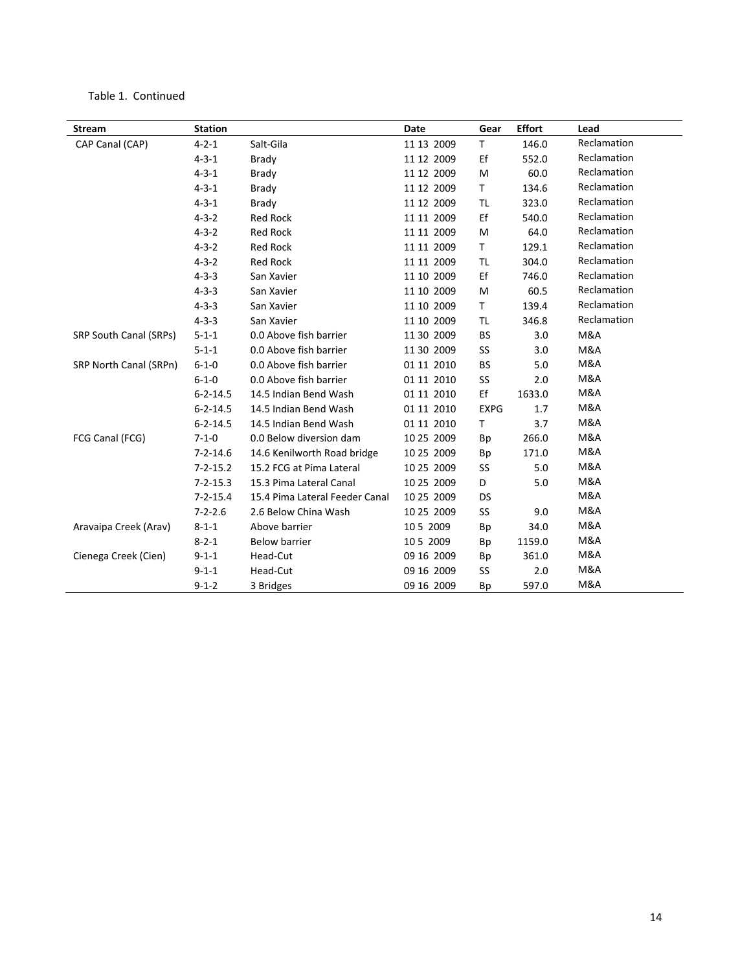#### Table 1. Continued

| <b>Stream</b>          | <b>Station</b> |                                | Date       | Gear         | <b>Effort</b> | Lead        |
|------------------------|----------------|--------------------------------|------------|--------------|---------------|-------------|
| CAP Canal (CAP)        | $4 - 2 - 1$    | Salt-Gila                      | 11 13 2009 | T            | 146.0         | Reclamation |
|                        | $4 - 3 - 1$    | <b>Brady</b>                   | 11 12 2009 | Ef           | 552.0         | Reclamation |
|                        | $4 - 3 - 1$    | <b>Brady</b>                   | 11 12 2009 | M            | 60.0          | Reclamation |
|                        | $4 - 3 - 1$    | <b>Brady</b>                   | 11 12 2009 | T            | 134.6         | Reclamation |
|                        | $4 - 3 - 1$    | <b>Brady</b>                   | 11 12 2009 | TL           | 323.0         | Reclamation |
|                        | $4 - 3 - 2$    | <b>Red Rock</b>                | 11 11 2009 | Ef           | 540.0         | Reclamation |
|                        | $4 - 3 - 2$    | <b>Red Rock</b>                | 11 11 2009 | M            | 64.0          | Reclamation |
|                        | $4 - 3 - 2$    | <b>Red Rock</b>                | 11 11 2009 | T.           | 129.1         | Reclamation |
|                        | $4 - 3 - 2$    | <b>Red Rock</b>                | 11 11 2009 | <b>TL</b>    | 304.0         | Reclamation |
|                        | $4 - 3 - 3$    | San Xavier                     | 11 10 2009 | Ef           | 746.0         | Reclamation |
|                        | $4 - 3 - 3$    | San Xavier                     | 11 10 2009 | M            | 60.5          | Reclamation |
|                        | $4 - 3 - 3$    | San Xavier                     | 11 10 2009 | $\mathsf{T}$ | 139.4         | Reclamation |
|                        | $4 - 3 - 3$    | San Xavier                     | 11 10 2009 | <b>TL</b>    | 346.8         | Reclamation |
| SRP South Canal (SRPs) | $5 - 1 - 1$    | 0.0 Above fish barrier         | 11 30 2009 | <b>BS</b>    | 3.0           | M&A         |
|                        | $5 - 1 - 1$    | 0.0 Above fish barrier         | 11 30 2009 | SS           | 3.0           | M&A         |
| SRP North Canal (SRPn) | $6 - 1 - 0$    | 0.0 Above fish barrier         | 01 11 2010 | BS           | 5.0           | M&A         |
|                        | $6 - 1 - 0$    | 0.0 Above fish barrier         | 01 11 2010 | SS           | 2.0           | M&A         |
|                        | $6 - 2 - 14.5$ | 14.5 Indian Bend Wash          | 01 11 2010 | Ef           | 1633.0        | M&A         |
|                        | $6 - 2 - 14.5$ | 14.5 Indian Bend Wash          | 01 11 2010 | <b>EXPG</b>  | 1.7           | M&A         |
|                        | $6 - 2 - 14.5$ | 14.5 Indian Bend Wash          | 01 11 2010 | Τ            | 3.7           | M&A         |
| FCG Canal (FCG)        | $7 - 1 - 0$    | 0.0 Below diversion dam        | 10 25 2009 | Bp           | 266.0         | M&A         |
|                        | $7 - 2 - 14.6$ | 14.6 Kenilworth Road bridge    | 10 25 2009 | Bp           | 171.0         | M&A         |
|                        | $7 - 2 - 15.2$ | 15.2 FCG at Pima Lateral       | 10 25 2009 | SS           | 5.0           | M&A         |
|                        | $7 - 2 - 15.3$ | 15.3 Pima Lateral Canal        | 10 25 2009 | D            | 5.0           | M&A         |
|                        | $7 - 2 - 15.4$ | 15.4 Pima Lateral Feeder Canal | 10 25 2009 | DS           |               | M&A         |
|                        | $7 - 2 - 2.6$  | 2.6 Below China Wash           | 10 25 2009 | SS           | 9.0           | M&A         |
| Aravaipa Creek (Arav)  | $8 - 1 - 1$    | Above barrier                  | 10 5 2009  | Bp           | 34.0          | M&A         |
|                        | $8 - 2 - 1$    | <b>Below barrier</b>           | 10 5 2009  | Bp           | 1159.0        | M&A         |
| Cienega Creek (Cien)   | $9 - 1 - 1$    | Head-Cut                       | 09 16 2009 | Bp           | 361.0         | M&A         |
|                        | $9 - 1 - 1$    | Head-Cut                       | 09 16 2009 | SS           | 2.0           | M&A         |
|                        | $9 - 1 - 2$    | 3 Bridges                      | 09 16 2009 | Bp           | 597.0         | M&A         |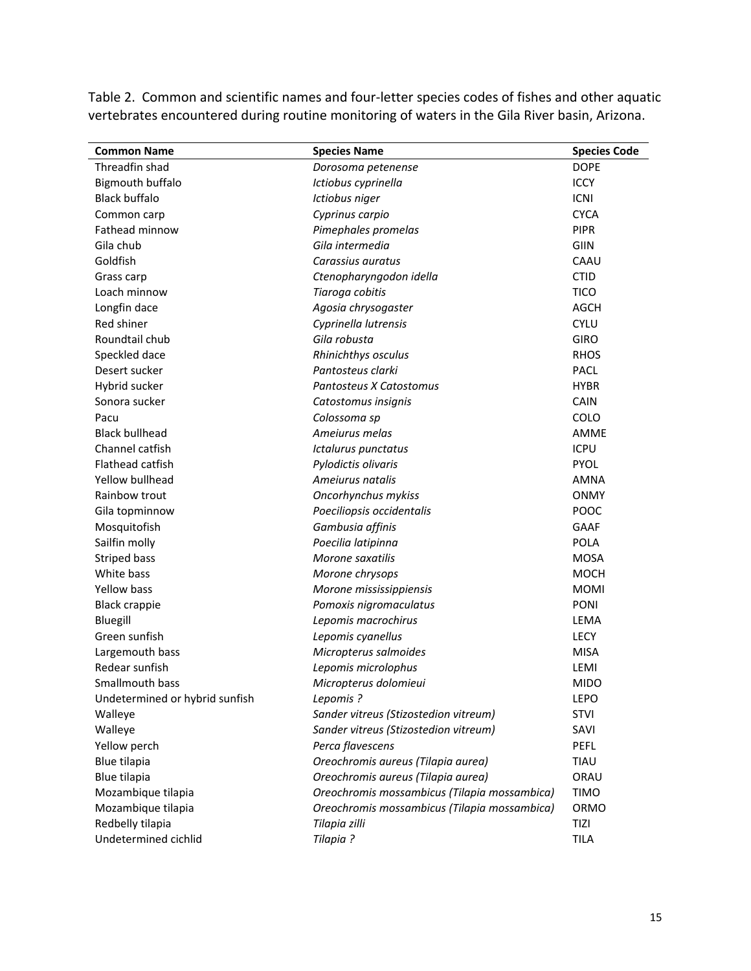Table 2. Common and scientific names and four‐letter species codes of fishes and other aquatic vertebrates encountered during routine monitoring of waters in the Gila River basin, Arizona.

| <b>Common Name</b>             | <b>Species Name</b>                          | <b>Species Code</b> |
|--------------------------------|----------------------------------------------|---------------------|
| Threadfin shad                 | Dorosoma petenense                           | <b>DOPE</b>         |
| Bigmouth buffalo               | Ictiobus cyprinella                          | <b>ICCY</b>         |
| <b>Black buffalo</b>           | Ictiobus niger                               | <b>ICNI</b>         |
| Common carp                    | Cyprinus carpio                              | <b>CYCA</b>         |
| Fathead minnow                 | Pimephales promelas                          | <b>PIPR</b>         |
| Gila chub                      | Gila intermedia                              | <b>GIIN</b>         |
| Goldfish                       | Carassius auratus                            | CAAU                |
| Grass carp                     | Ctenopharyngodon idella                      | <b>CTID</b>         |
| Loach minnow                   | Tiaroga cobitis                              | <b>TICO</b>         |
| Longfin dace                   | Agosia chrysogaster                          | <b>AGCH</b>         |
| Red shiner                     | Cyprinella lutrensis                         | <b>CYLU</b>         |
| Roundtail chub                 | Gila robusta                                 | <b>GIRO</b>         |
| Speckled dace                  | Rhinichthys osculus                          | <b>RHOS</b>         |
| Desert sucker                  | Pantosteus clarki                            | <b>PACL</b>         |
| Hybrid sucker                  | Pantosteus X Catostomus                      | <b>HYBR</b>         |
| Sonora sucker                  | Catostomus insignis                          | <b>CAIN</b>         |
| Pacu                           | Colossoma sp                                 | COLO                |
| <b>Black bullhead</b>          | Ameiurus melas                               | <b>AMME</b>         |
| Channel catfish                | Ictalurus punctatus                          | <b>ICPU</b>         |
| <b>Flathead catfish</b>        | Pylodictis olivaris                          | <b>PYOL</b>         |
| Yellow bullhead                | Ameiurus natalis                             | <b>AMNA</b>         |
| Rainbow trout                  | Oncorhynchus mykiss                          | <b>ONMY</b>         |
| Gila topminnow                 | Poeciliopsis occidentalis                    | POOC                |
| Mosquitofish                   | Gambusia affinis                             | <b>GAAF</b>         |
| Sailfin molly                  | Poecilia latipinna                           | POLA                |
| <b>Striped bass</b>            | Morone saxatilis                             | <b>MOSA</b>         |
| White bass                     | Morone chrysops                              | <b>MOCH</b>         |
| <b>Yellow bass</b>             | Morone mississippiensis                      | <b>MOMI</b>         |
| <b>Black crappie</b>           | Pomoxis nigromaculatus                       | <b>PONI</b>         |
| Bluegill                       | Lepomis macrochirus                          | LEMA                |
| Green sunfish                  | Lepomis cyanellus                            | <b>LECY</b>         |
| Largemouth bass                | Micropterus salmoides                        | <b>MISA</b>         |
| Redear sunfish                 | Lepomis microlophus                          | LEMI                |
| Smallmouth bass                | Micropterus dolomieui                        | <b>MIDO</b>         |
| Undetermined or hybrid sunfish | Lepomis?                                     | <b>LEPO</b>         |
| Walleye                        | Sander vitreus (Stizostedion vitreum)        | <b>STVI</b>         |
| Walleye                        | Sander vitreus (Stizostedion vitreum)        | SAVI                |
| Yellow perch                   | Perca flavescens                             | PEFL                |
| Blue tilapia                   | Oreochromis aureus (Tilapia aurea)           | TIAU                |
| Blue tilapia                   | Oreochromis aureus (Tilapia aurea)           | ORAU                |
| Mozambique tilapia             | Oreochromis mossambicus (Tilapia mossambica) | <b>TIMO</b>         |
| Mozambique tilapia             | Oreochromis mossambicus (Tilapia mossambica) | ORMO                |
| Redbelly tilapia               | Tilapia zilli                                | TIZI                |
| Undetermined cichlid           | Tilapia ?                                    | <b>TILA</b>         |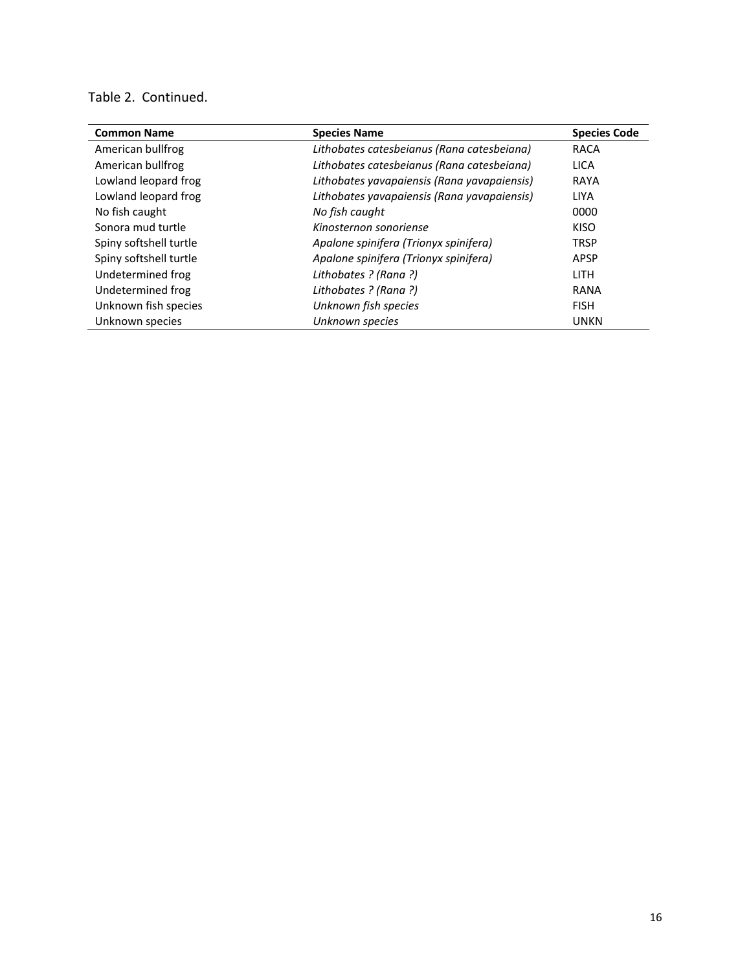# Table 2. Continued.

| <b>Common Name</b>     | <b>Species Name</b>                         | <b>Species Code</b> |
|------------------------|---------------------------------------------|---------------------|
| American bullfrog      | Lithobates catesbeianus (Rana catesbeiana)  | <b>RACA</b>         |
| American bullfrog      | Lithobates catesbeianus (Rana catesbeiana)  | <b>LICA</b>         |
| Lowland leopard frog   | Lithobates yavapaiensis (Rana yavapaiensis) | <b>RAYA</b>         |
| Lowland leopard frog   | Lithobates yavapaiensis (Rana yavapaiensis) | <b>LIYA</b>         |
| No fish caught         | No fish caught                              | 0000                |
| Sonora mud turtle      | Kinosternon sonoriense                      | KISO                |
| Spiny softshell turtle | Apalone spinifera (Trionyx spinifera)       | <b>TRSP</b>         |
| Spiny softshell turtle | Apalone spinifera (Trionyx spinifera)       | APSP                |
| Undetermined frog      | Lithobates ? (Rana ?)                       | <b>LITH</b>         |
| Undetermined frog      | Lithobates ? (Rana ?)                       | <b>RANA</b>         |
| Unknown fish species   | Unknown fish species                        | <b>FISH</b>         |
| Unknown species        | Unknown species                             | <b>UNKN</b>         |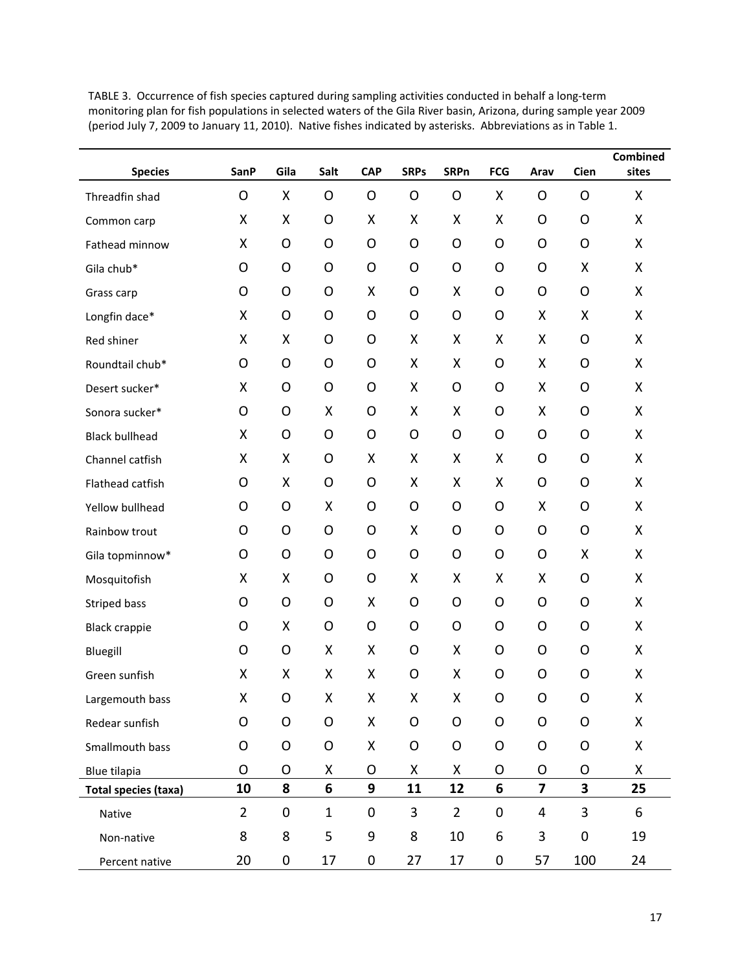| <b>Species</b>              | <b>SanP</b>    | Gila         | Salt         | <b>CAP</b> | <b>SRPs</b>  | <b>SRPn</b>    | <b>FCG</b> | Arav                    | Cien                    | <b>Combined</b><br>sites |
|-----------------------------|----------------|--------------|--------------|------------|--------------|----------------|------------|-------------------------|-------------------------|--------------------------|
| Threadfin shad              | O              | X            | O            | O          | $\circ$      | O              | X          | O                       | O                       | X                        |
| Common carp                 | Χ              | X            | O            | Χ          | X            | Χ              | X          | O                       | O                       | X                        |
| Fathead minnow              | Χ              | O            | O            | O          | $\circ$      | O              | O          | O                       | O                       | X                        |
| Gila chub*                  | O              | O            | O            | O          | O            | O              | O          | O                       | Χ                       | Χ                        |
| Grass carp                  | O              | O            | O            | X          | O            | Χ              | O          | O                       | O                       | Χ                        |
| Longfin dace*               | Χ              | O            | O            | O          | $\circ$      | $\circ$        | O          | Χ                       | Χ                       | X                        |
| Red shiner                  | Χ              | Χ            | O            | O          | Χ            | Χ              | Χ          | Χ                       | O                       | X                        |
| Roundtail chub*             | O              | O            | O            | O          | X            | Χ              | O          | Χ                       | O                       | X                        |
| Desert sucker*              | Χ              | O            | O            | O          | X            | O              | O          | Χ                       | O                       | X                        |
| Sonora sucker*              | O              | O            | Χ            | O          | X            | Χ              | O          | Χ                       | O                       | X                        |
| <b>Black bullhead</b>       | X              | $\mathsf{O}$ | O            | O          | $\mathsf{O}$ | $\circ$        | O          | O                       | $\mathsf{O}$            | X                        |
| Channel catfish             | X              | X            | O            | X          | X            | Χ              | X          | O                       | O                       | Χ                        |
| Flathead catfish            | O              | X            | O            | O          | Χ            | Χ              | X          | O                       | O                       | X                        |
| Yellow bullhead             | O              | O            | Χ            | O          | O            | O              | O          | Χ                       | O                       | X                        |
| Rainbow trout               | O              | O            | O            | O          | X            | O              | O          | O                       | O                       | X                        |
| Gila topminnow*             | O              | O            | O            | O          | $\circ$      | $\mathsf{O}$   | O          | O                       | Χ                       | X                        |
| Mosquitofish                | X              | X            | O            | O          | X            | Χ              | X          | Χ                       | O                       | X                        |
| <b>Striped bass</b>         | O              | O            | O            | X          | O            | O              | O          | O                       | O                       | X                        |
| <b>Black crappie</b>        | O              | X            | O            | O          | $\circ$      | $\circ$        | O          | O                       | O                       | X                        |
| Bluegill                    | O              | O            | Χ            | X          | O            | X              | O          | O                       | O                       | Χ                        |
| Green sunfish               | Χ              | X            | Χ            | Χ          | O            | Χ              | O          | O                       | O                       | Χ                        |
| Largemouth bass             | Χ              | $\circ$      | Χ            | Χ          | Χ            | Χ              | 0          | O                       | O                       | Χ                        |
| Redear sunfish              | O              | $\mathsf O$  | $\mathsf O$  | X          | $\mathsf O$  | $\mathsf O$    | O          | $\mathsf O$             | $\mathsf O$             | X                        |
| Smallmouth bass             | O              | O            | O            | X          | O            | O              | O          | O                       | O                       | X                        |
| Blue tilapia                | O              | O            | Χ            | O          | Χ            | X              | O          | O                       | O                       | X                        |
| <b>Total species (taxa)</b> | 10             | 8            | 6            | 9          | 11           | 12             | 6          | $\overline{\mathbf{z}}$ | $\overline{\mathbf{3}}$ | 25                       |
| Native                      | $\overline{2}$ | $\mathbf 0$  | $\mathbf{1}$ | $\pmb{0}$  | 3            | $\overline{2}$ | $\pmb{0}$  | 4                       | 3                       | 6                        |
| Non-native                  | 8              | 8            | 5            | 9          | 8            | 10             | 6          | 3                       | $\pmb{0}$               | 19                       |
| Percent native              | 20             | 0            | 17           | $\pmb{0}$  | 27           | 17             | 0          | 57                      | 100                     | 24                       |

TABLE 3. Occurrence of fish species captured during sampling activities conducted in behalf a long‐term monitoring plan for fish populations in selected waters of the Gila River basin, Arizona, during sample year 2009 (period July 7, 2009 to January 11, 2010). Native fishes indicated by asterisks. Abbreviations as in Table 1.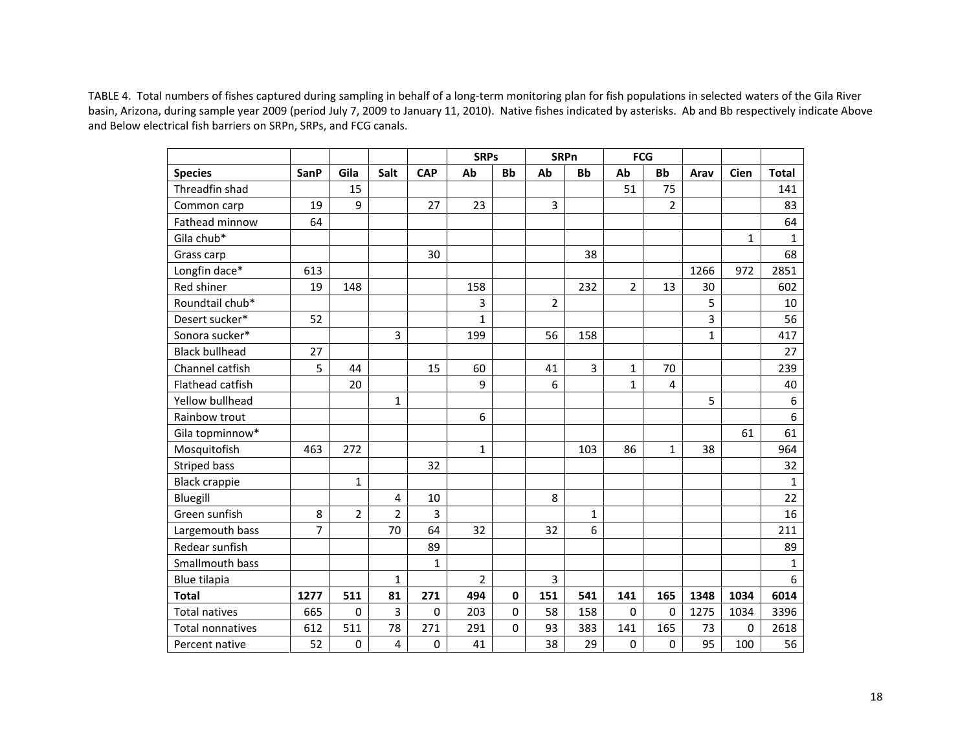TABLE 4. Total numbers of fishes captured during sampling in behalf of <sup>a</sup> long‐term monitoring plan for fish populations in selected waters of the Gila River basin, Arizona, during sample year 2009 (period July 7, 2009 to January 11, 2010). Native fishes indicated by asterisks. Ab and Bb respectively indicate Above and Below electrical fish barriers on SRPn, SRPs, and FCG canals.

|                       |                |                |                |             | <b>SRPs</b>    |             |                | <b>SRPn</b>    | <b>FCG</b>     |                |              |              |                  |
|-----------------------|----------------|----------------|----------------|-------------|----------------|-------------|----------------|----------------|----------------|----------------|--------------|--------------|------------------|
| <b>Species</b>        | <b>SanP</b>    | Gila           | Salt           | <b>CAP</b>  | Ab             | <b>Bb</b>   | Ab             | <b>Bb</b>      | Ab             | <b>Bb</b>      | Arav         | Cien         | <b>Total</b>     |
| Threadfin shad        |                | 15             |                |             |                |             |                |                | 51             | 75             |              |              | 141              |
| Common carp           | 19             | 9              |                | 27          | 23             |             | 3              |                |                | $\overline{2}$ |              |              | 83               |
| Fathead minnow        | 64             |                |                |             |                |             |                |                |                |                |              |              | 64               |
| Gila chub*            |                |                |                |             |                |             |                |                |                |                |              | $\mathbf{1}$ | $\mathbf{1}$     |
| Grass carp            |                |                |                | 30          |                |             |                | 38             |                |                |              |              | 68               |
| Longfin dace*         | 613            |                |                |             |                |             |                |                |                |                | 1266         | 972          | 2851             |
| Red shiner            | 19             | 148            |                |             | 158            |             |                | 232            | $\overline{2}$ | 13             | 30           |              | 602              |
| Roundtail chub*       |                |                |                |             | 3              |             | $\overline{2}$ |                |                |                | 5            |              | 10               |
| Desert sucker*        | 52             |                |                |             | 1              |             |                |                |                |                | 3            |              | 56               |
| Sonora sucker*        |                |                | 3              |             | 199            |             | 56             | 158            |                |                | $\mathbf{1}$ |              | 417              |
| <b>Black bullhead</b> | 27             |                |                |             |                |             |                |                |                |                |              |              | 27               |
| Channel catfish       | 5              | 44             |                | 15          | 60             |             | 41             | $\overline{3}$ | $\mathbf{1}$   | 70             |              |              | 239              |
| Flathead catfish      |                | 20             |                |             | 9              |             | 6              |                | $\mathbf{1}$   | 4              |              |              | 40               |
| Yellow bullhead       |                |                | $\mathbf{1}$   |             |                |             |                |                |                |                | 5            |              | $\boldsymbol{6}$ |
| Rainbow trout         |                |                |                |             | 6              |             |                |                |                |                |              |              | $\boldsymbol{6}$ |
| Gila topminnow*       |                |                |                |             |                |             |                |                |                |                |              | 61           | 61               |
| Mosquitofish          | 463            | 272            |                |             | $\mathbf{1}$   |             |                | 103            | 86             | 1              | 38           |              | 964              |
| <b>Striped bass</b>   |                |                |                | 32          |                |             |                |                |                |                |              |              | 32               |
| <b>Black crappie</b>  |                | $\mathbf{1}$   |                |             |                |             |                |                |                |                |              |              | $\mathbf{1}$     |
| Bluegill              |                |                | 4              | 10          |                |             | 8              |                |                |                |              |              | 22               |
| Green sunfish         | 8              | $\overline{2}$ | $\overline{2}$ | 3           |                |             |                | $\mathbf{1}$   |                |                |              |              | 16               |
| Largemouth bass       | $\overline{7}$ |                | 70             | 64          | 32             |             | 32             | 6              |                |                |              |              | 211              |
| Redear sunfish        |                |                |                | 89          |                |             |                |                |                |                |              |              | 89               |
| Smallmouth bass       |                |                |                | 1           |                |             |                |                |                |                |              |              | $\mathbf{1}$     |
| Blue tilapia          |                |                | $\mathbf{1}$   |             | $\overline{2}$ |             | 3              |                |                |                |              |              | $\boldsymbol{6}$ |
| <b>Total</b>          | 1277           | 511            | 81             | 271         | 494            | $\mathbf 0$ | 151            | 541            | 141            | 165            | 1348         | 1034         | 6014             |
| <b>Total natives</b>  | 665            | 0              | 3              | $\mathbf 0$ | 203            | $\mathbf 0$ | 58             | 158            | 0              | $\mathbf 0$    | 1275         | 1034         | 3396             |
| Total nonnatives      | 612            | 511            | 78             | 271         | 291            | $\Omega$    | 93             | 383            | 141            | 165            | 73           | $\mathbf 0$  | 2618             |
| Percent native        | 52             | 0              | 4              | 0           | 41             |             | 38             | 29             | 0              | 0              | 95           | 100          | 56               |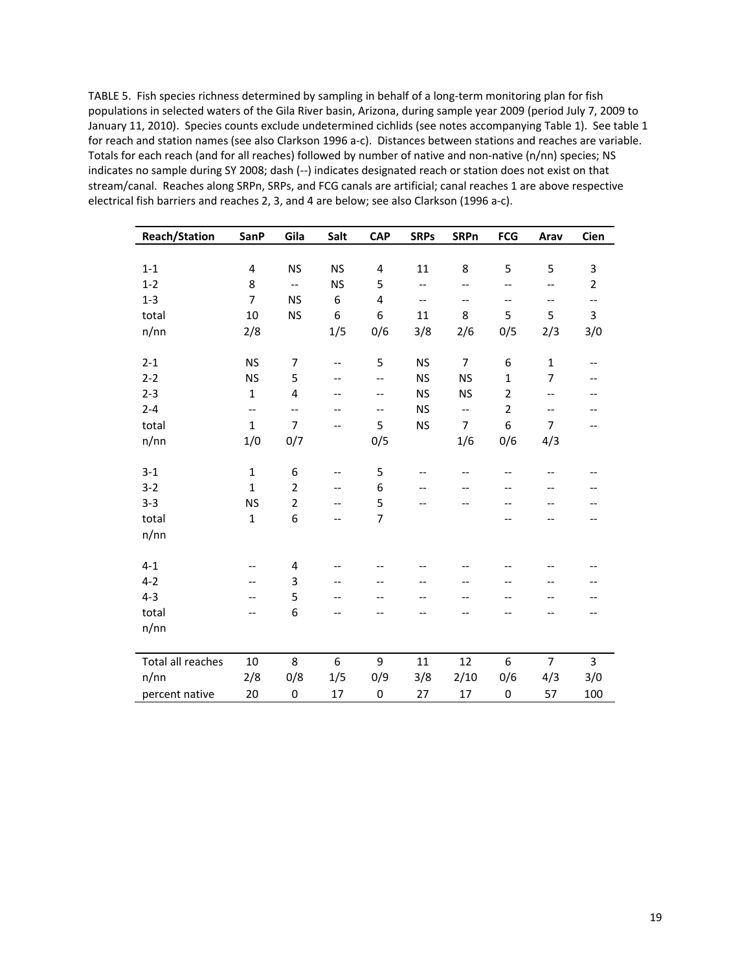TABLE 5. Fish species richness determined by sampling in behalf of a long-term monitoring plan for fish populations in selected waters of the Gila River basin, Arizona, during sample year 2009 (period July 7, 2009 to January 11, 2010). Species counts exclude undetermined cichlids (see notes accompanying Table 1). See table 1 for reach and station names (see also Clarkson 1996 a‐c). Distances between stations and reaches are variable. Totals for each reach (and for all reaches) followed by number of native and non-native (n/nn) species; NS indicates no sample during SY 2008; dash (‐‐) indicates designated reach or station does not exist on that stream/canal. Reaches along SRPn, SRPs, and FCG canals are artificial; canal reaches 1 are above respective electrical fish barriers and reaches 2, 3, and 4 are below; see also Clarkson (1996 a‐c).

| <b>Reach/Station</b> | <b>SanP</b>       | Gila                     | Salt      | <b>CAP</b>       | <b>SRPs</b>              | <b>SRPn</b>              | <b>FCG</b>                            | Arav              | Cien                     |
|----------------------|-------------------|--------------------------|-----------|------------------|--------------------------|--------------------------|---------------------------------------|-------------------|--------------------------|
|                      |                   |                          |           |                  |                          |                          |                                       |                   |                          |
| $1 - 1$              | $\pmb{4}$         | <b>NS</b>                | <b>NS</b> | $\pmb{4}$        | 11                       | 8                        | 5                                     | 5                 | $\mathsf 3$              |
| $1 - 2$              | 8                 | $\overline{\phantom{a}}$ | <b>NS</b> | 5                | $\overline{\phantom{a}}$ | $-$                      | $\overline{\phantom{a}}$              | $- -$             | $\overline{2}$           |
| $1 - 3$              | 7                 | <b>NS</b>                | 6         | 4                | $\overline{\phantom{a}}$ | $\overline{\phantom{m}}$ | $\hspace{0.05cm}$ – $\hspace{0.05cm}$ | $- -$             | --                       |
| total                | 10                | <b>NS</b>                | 6         | $\boldsymbol{6}$ | 11                       | 8                        | 5                                     | 5                 | 3                        |
| n/nn                 | 2/8               |                          | 1/5       | 0/6              | 3/8                      | 2/6                      | 0/5                                   | 2/3               | 3/0                      |
|                      |                   |                          |           |                  |                          |                          |                                       |                   |                          |
| $2 - 1$              | <b>NS</b>         | $\overline{7}$           | $- -$     | 5                | <b>NS</b>                | $\overline{7}$           | 6                                     | $\mathbf{1}$      | --                       |
| $2 - 2$              | <b>NS</b>         | 5                        | --        | $-$              | <b>NS</b>                | <b>NS</b>                | $\mathbf 1$                           | 7                 | $-$                      |
| $2 - 3$              | $\mathbf{1}$      | 4                        | --        | $-$              | <b>NS</b>                | <b>NS</b>                | $\overline{2}$                        | $-\,-$            | $\overline{\phantom{m}}$ |
| $2 - 4$              | $\qquad \qquad -$ | $-$                      | --        | --               | <b>NS</b>                | $\overline{\phantom{a}}$ | $\overline{2}$                        | $\qquad \qquad -$ | --                       |
| total                | $\mathbf{1}$      | 7                        | --        | 5                | <b>NS</b>                | $\overline{7}$           | 6                                     | 7                 | $-\!$ –                  |
| n/nn                 | 1/0               | 0/7                      |           | 0/5              |                          | 1/6                      | 0/6                                   | 4/3               |                          |
|                      |                   |                          |           |                  |                          |                          |                                       |                   |                          |
| $3 - 1$              | $\mathbf{1}$      | $\,6\,$                  | $-$       | 5                | $-$                      | $-$                      | --                                    | --                |                          |
| $3 - 2$              | $\mathbf{1}$      | $\overline{2}$           | --        | 6                | --                       |                          |                                       |                   |                          |
| $3 - 3$              | <b>NS</b>         | $\overline{2}$           | $-$       | 5                | $-$                      | --                       | --                                    | $-$               | --                       |
| total                | $\mathbf 1$       | 6                        | --        | $\overline{7}$   |                          |                          | --                                    |                   | --                       |
| n/nn                 |                   |                          |           |                  |                          |                          |                                       |                   |                          |
|                      |                   |                          |           |                  |                          |                          |                                       |                   |                          |
| $4 - 1$              | $-$               | 4                        | $-$       |                  |                          |                          | --                                    |                   | $-$                      |
| $4 - 2$              | $-$               | 3                        | $-$       | $-$              | --                       | $-$                      | $\overline{\phantom{a}}$              | --                |                          |
| $4 - 3$              | --                | 5                        | $-$       | --               | $-$                      | --                       | --                                    | --                | --                       |
| total                | $-$               | 6                        | --        | --               |                          | --                       | --                                    | --                | --                       |
| n/nn                 |                   |                          |           |                  |                          |                          |                                       |                   |                          |
|                      |                   |                          |           |                  |                          |                          |                                       |                   |                          |
| Total all reaches    | 10                | 8                        | 6         | 9                | 11                       | 12                       | 6                                     | 7                 | 3                        |
| n/nn                 | 2/8               | 0/8                      | 1/5       | 0/9              | 3/8                      | 2/10                     | 0/6                                   | 4/3               | 3/0                      |
| percent native       | 20                | $\boldsymbol{0}$         | 17        | $\pmb{0}$        | 27                       | 17                       | $\mathbf 0$                           | 57                | 100                      |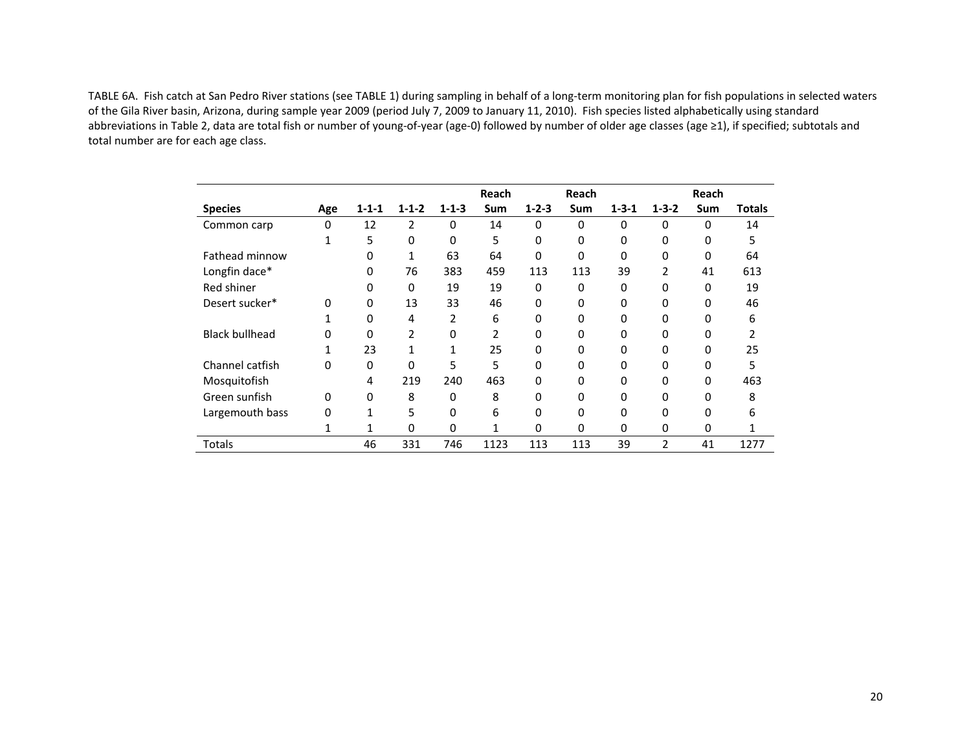TABLE 6A. Fish catch at San Pedro River stations (see TABLE 1) during sampling in behalf of <sup>a</sup> long‐term monitoring plan for fish populations in selected waters of the Gila River basin, Arizona, during sample year 2009 (period July 7, 2009 to January 11, 2010). Fish species listed alphabetically using standard abbreviations in Table 2, data are total fish or number of young‐of‐year (age‐0) followed by number of older age classes (age ≥1), if specified; subtotals and total number are for each age class.

|                       |     |             |              |              | Reach |             | Reach    |             |             | Reach    |        |
|-----------------------|-----|-------------|--------------|--------------|-------|-------------|----------|-------------|-------------|----------|--------|
| <b>Species</b>        | Age | $1 - 1 - 1$ | $1 - 1 - 2$  | $1 - 1 - 3$  | Sum   | $1 - 2 - 3$ | Sum      | $1 - 3 - 1$ | $1 - 3 - 2$ | Sum      | Totals |
| Common carp           | 0   | 12          | 2            | $\Omega$     | 14    | $\Omega$    | $\Omega$ | $\Omega$    | $\Omega$    | $\Omega$ | 14     |
|                       |     | 5           | $\Omega$     | $\Omega$     | 5     | 0           | 0        | $\Omega$    | $\Omega$    | 0        | 5      |
| Fathead minnow        |     | 0           | $\mathbf{1}$ | 63           | 64    | $\Omega$    | $\Omega$ | $\Omega$    | 0           | 0        | 64     |
| Longfin dace*         |     | $\Omega$    | 76           | 383          | 459   | 113         | 113      | 39          | 2           | 41       | 613    |
| Red shiner            |     | 0           | $\Omega$     | 19           | 19    | 0           | $\Omega$ | $\Omega$    | 0           | 0        | 19     |
| Desert sucker*        | 0   | $\mathbf 0$ | 13           | 33           | 46    | 0           | 0        | $\Omega$    | 0           | 0        | 46     |
|                       |     | 0           | 4            | 2            | 6     | 0           | $\Omega$ | 0           | 0           | 0        | 6      |
| <b>Black bullhead</b> | 0   | 0           | 2            | 0            | 2     | $\Omega$    | $\Omega$ | $\Omega$    | 0           | $\Omega$ | 2      |
|                       |     | 23          | $\mathbf{1}$ | $\mathbf{1}$ | 25    | $\Omega$    | $\Omega$ | $\Omega$    | 0           | 0        | 25     |
| Channel catfish       | 0   | 0           | $\Omega$     | 5            | 5     | $\Omega$    | $\Omega$ | $\Omega$    | 0           | 0        | 5      |
| Mosquitofish          |     | 4           | 219          | 240          | 463   | $\Omega$    | 0        | $\Omega$    | 0           | 0        | 463    |
| Green sunfish         | 0   | $\mathbf 0$ | 8            | 0            | 8     | $\Omega$    | $\Omega$ | 0           | 0           | 0        | 8      |
| Largemouth bass       | 0   | 1           | 5            | 0            | 6     | 0           | $\Omega$ | $\Omega$    | $\Omega$    | 0        | 6      |
|                       |     | 1           | $\Omega$     | $\Omega$     | 1     | $\Omega$    | $\Omega$ | $\Omega$    | $\Omega$    | $\Omega$ |        |
| Totals                |     | 46          | 331          | 746          | 1123  | 113         | 113      | 39          | 2           | 41       | 1277   |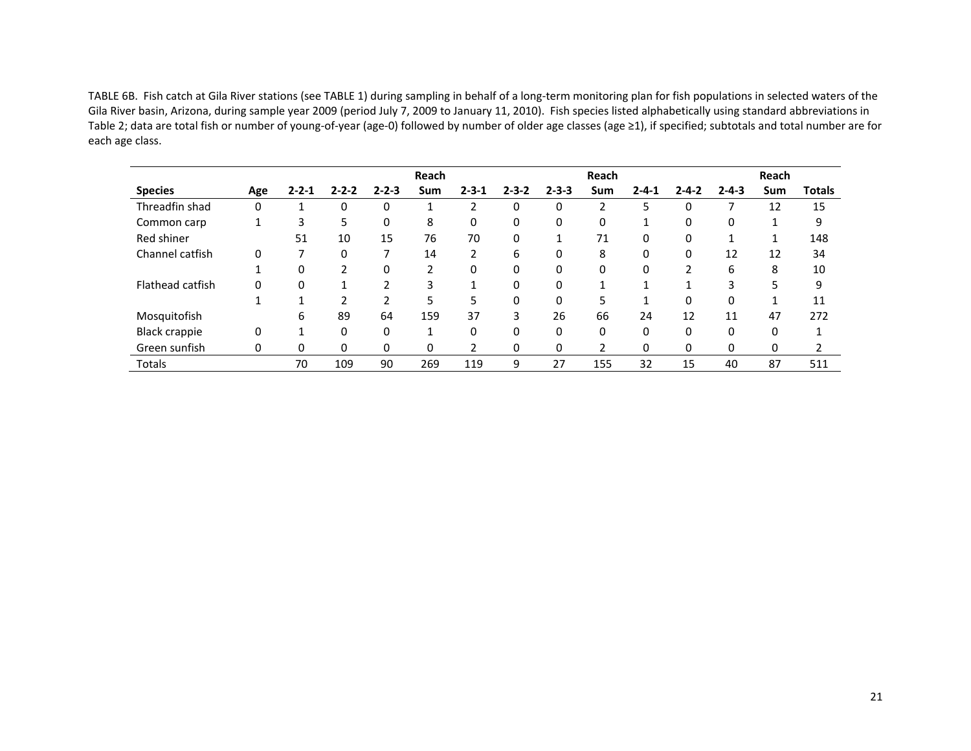TABLE 6B. Fish catch at Gila River stations (see TABLE 1) during sampling in behalf of <sup>a</sup> long‐term monitoring plan for fish populations in selected waters of the Gila River basin, Arizona, during sample year 2009 (period July 7, 2009 to January 11, 2010). Fish species listed alphabetically using standard abbreviations in Table 2; data are total fish or number of young‐of‐year (age‐0) followed by number of older age classes (age ≥1), if specified; subtotals and total number are for each age class.

|                      |          |             |             |                          | Reach |                |             |             | Reach          |             |                |             | Reach    |               |
|----------------------|----------|-------------|-------------|--------------------------|-------|----------------|-------------|-------------|----------------|-------------|----------------|-------------|----------|---------------|
| <b>Species</b>       | Age      | $2 - 2 - 1$ | $2 - 2 - 2$ | $2 - 2 - 3$              | Sum   | $2 - 3 - 1$    | $2 - 3 - 2$ | $2 - 3 - 3$ | Sum            | $2 - 4 - 1$ | $2 - 4 - 2$    | $2 - 4 - 3$ | Sum      | <b>Totals</b> |
| Threadfin shad       | 0        |             | 0           | 0                        |       |                | 0           | 0           | 2              | 5           | 0              |             | 12       | 15            |
| Common carp          |          | 3           | 5           | $\Omega$                 | 8     | 0              | 0           | 0           | 0              | 1           | 0              | 0           |          | 9             |
| Red shiner           |          | 51          | 10          | 15                       | 76    | 70             | 0           | 1           | 71             | 0           | 0              |             | 1        | 148           |
| Channel catfish      | $\Omega$ | 7           | $\Omega$    |                          | 14    | 2              | 6           | 0           | 8              | 0           | 0              | 12          | 12       | 34            |
|                      |          | 0           | 2           | $\Omega$                 | 2     | 0              | 0           | $\Omega$    | 0              | 0           | $\overline{2}$ | 6           | 8        | 10            |
| Flathead catfish     | $\Omega$ | 0           |             | ำ                        | 3     |                | 0           | 0           |                |             |                | 3           | 5        | 9             |
|                      |          |             | າ           | $\overline{\phantom{a}}$ | 5     | 5              | 0           | $\Omega$    | 5              |             | 0              | 0           |          | 11            |
| Mosquitofish         |          | 6           | 89          | 64                       | 159   | 37             | 3           | 26          | 66             | 24          | 12             | 11          | 47       | 272           |
| <b>Black crappie</b> | $\Omega$ |             | $\Omega$    | $\Omega$                 | 1     | 0              | 0           | $\Omega$    | 0              | 0           | 0              | 0           | $\Omega$ | 1             |
| Green sunfish        | $\Omega$ | 0           | 0           | $\Omega$                 | 0     | $\overline{2}$ | 0           | 0           | $\mathfrak{p}$ | 0           | 0              | 0           | 0        |               |
| Totals               |          | 70          | 109         | 90                       | 269   | 119            | 9           | 27          | 155            | 32          | 15             | 40          | 87       | 511           |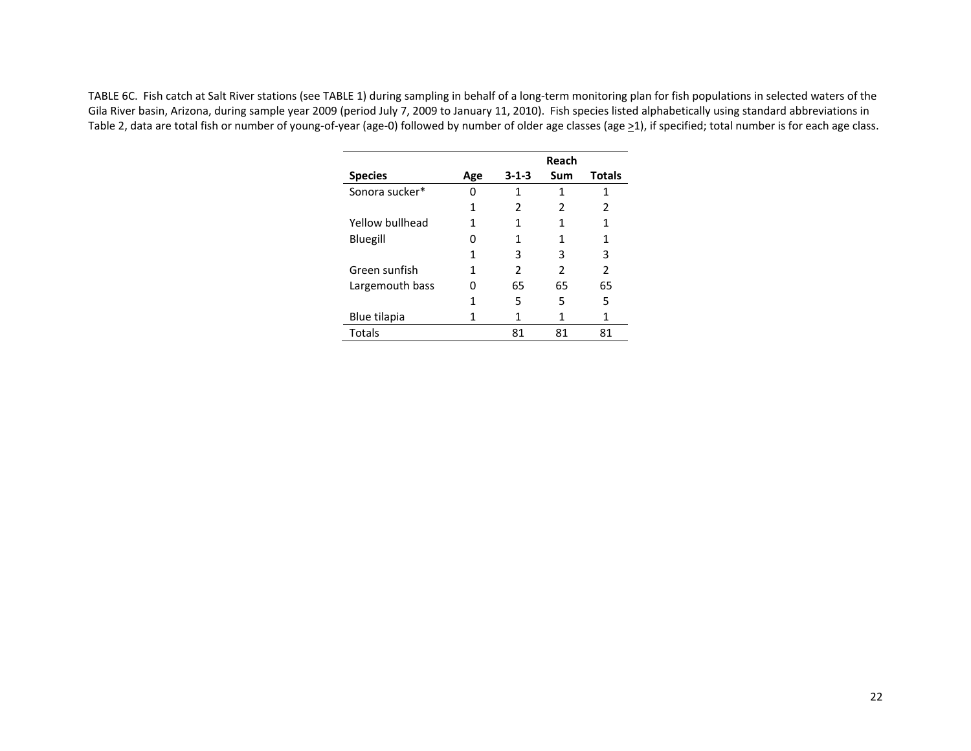TABLE 6C. Fish catch at Salt River stations (see TABLE 1) during sampling in behalf of <sup>a</sup> long‐term monitoring plan for fish populations in selected waters of the Gila River basin, Arizona, during sample year 2009 (period July 7, 2009 to January 11, 2010). Fish species listed alphabetically using standard abbreviations in Table 2, data are total fish or number of young-of-year (age-0) followed by number of older age classes (age ≥1), if specified; total number is for each age class.

|                 |     |             | Reach                    |                          |
|-----------------|-----|-------------|--------------------------|--------------------------|
| <b>Species</b>  | Age | $3 - 1 - 3$ | Sum                      | <b>Totals</b>            |
| Sonora sucker*  | 0   | 1           | 1                        | 1                        |
|                 | 1   | 2           | 2                        | 2                        |
| Yellow bullhead | 1   | 1           |                          | 1                        |
| Bluegill        | 0   | 1           | 1                        | 1                        |
|                 | 1   | 3           | 3                        | 3                        |
| Green sunfish   | 1   | 2           | $\overline{\phantom{a}}$ | $\overline{\phantom{a}}$ |
| Largemouth bass | 0   | 65          | 65                       | 65                       |
|                 |     | 5           | 5                        | 5                        |
| Blue tilapia    |     |             | 1                        | 1                        |
| Totals          |     | 81          | 81                       | 81                       |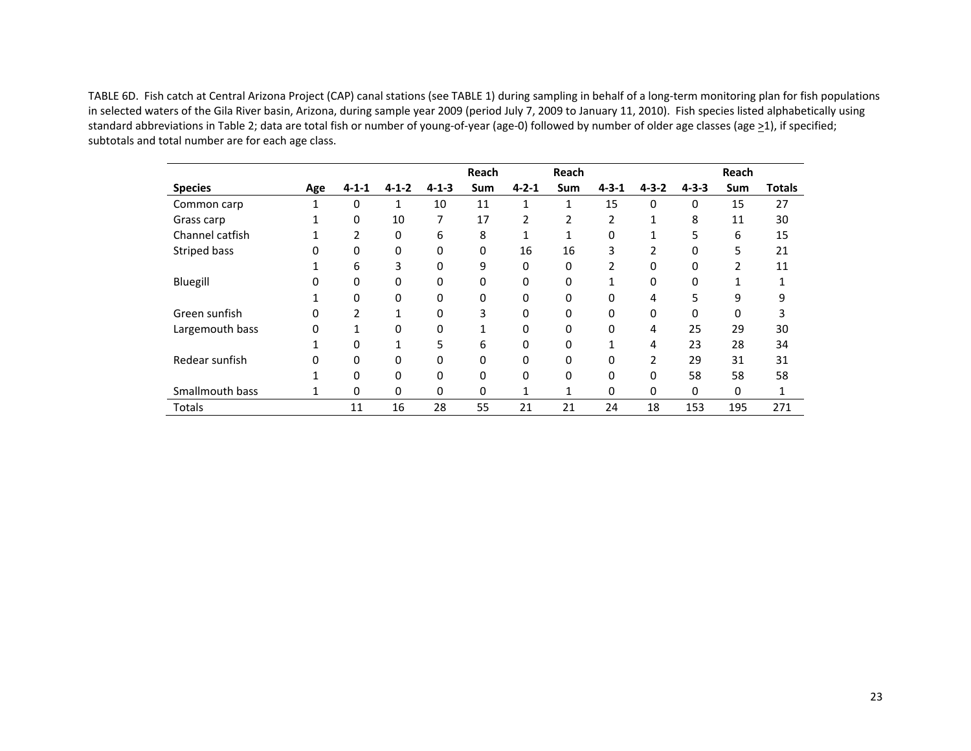TABLE 6D. Fish catch at Central Arizona Project (CAP) canal stations (see TABLE 1) during sampling in behalf of <sup>a</sup> long‐term monitoring plan for fish populations in selected waters of the Gila River basin, Arizona, during sample year 2009 (period July 7, 2009 to January 11, 2010). Fish species listed alphabetically using standard abbreviations in Table 2; data are total fish or number of young‐of‐year (age‐0) followed by number of older age classes (age >1), if specified; subtotals and total number are for each age class.

|                 |     |             |             |             | Reach |               | Reach |             |                |              | Reach                    |               |
|-----------------|-----|-------------|-------------|-------------|-------|---------------|-------|-------------|----------------|--------------|--------------------------|---------------|
| <b>Species</b>  | Age | $4 - 1 - 1$ | $4 - 1 - 2$ | $4 - 1 - 3$ | Sum   | $4 - 2 - 1$   | Sum   | $4 - 3 - 1$ | $4 - 3 - 2$    | $4 - 3 - 3$  | Sum                      | <b>Totals</b> |
| Common carp     |     | 0           | 1           | 10          | 11    | 1             | 1     | 15          | 0              | 0            | 15                       | 27            |
| Grass carp      |     | 0           | 10          | 7           | 17    | $\mathcal{P}$ | 2     | 2           |                | 8            | 11                       | 30            |
| Channel catfish |     | 2           | 0           | 6           | 8     |               |       | 0           |                | 5            | 6                        | 15            |
| Striped bass    | 0   | $\Omega$    | 0           | 0           | 0     | 16            | 16    | 3           | 2              | 0            | 5                        | 21            |
|                 |     | 6           | 3           | 0           | 9     | 0             | 0     | 2           | 0              | 0            | $\overline{\phantom{a}}$ | 11            |
| Bluegill        | 0   | 0           | 0           | 0           | 0     | 0             | 0     |             | 0              | 0            |                          |               |
|                 |     | 0           | 0           | 0           | 0     | 0             | 0     | 0           | 4              | 5.           | 9                        | 9             |
| Green sunfish   | 0   | 2           |             | 0           | 3     | 0             | 0     | 0           | 0              | 0            | 0                        |               |
| Largemouth bass | 0   |             | 0           | 0           |       | 0             | 0     | 0           | 4              | 25           | 29                       | 30            |
|                 |     | O           |             | 5           | 6     | 0             | 0     |             | 4              | 23           | 28                       | 34            |
| Redear sunfish  | O   | $\Omega$    | 0           | 0           | 0     | 0             | 0     | 0           | $\overline{2}$ | 29           | 31                       | 31            |
|                 |     | 0           | 0           | 0           | 0     | 0             | 0     | 0           | 0              | 58           | 58                       | 58            |
| Smallmouth bass |     | 0           | 0           | 0           | 0     | 1             | 1     | 0           | 0              | $\mathbf{0}$ | 0                        | 1             |
| Totals          |     | 11          | 16          | 28          | 55    | 21            | 21    | 24          | 18             | 153          | 195                      | 271           |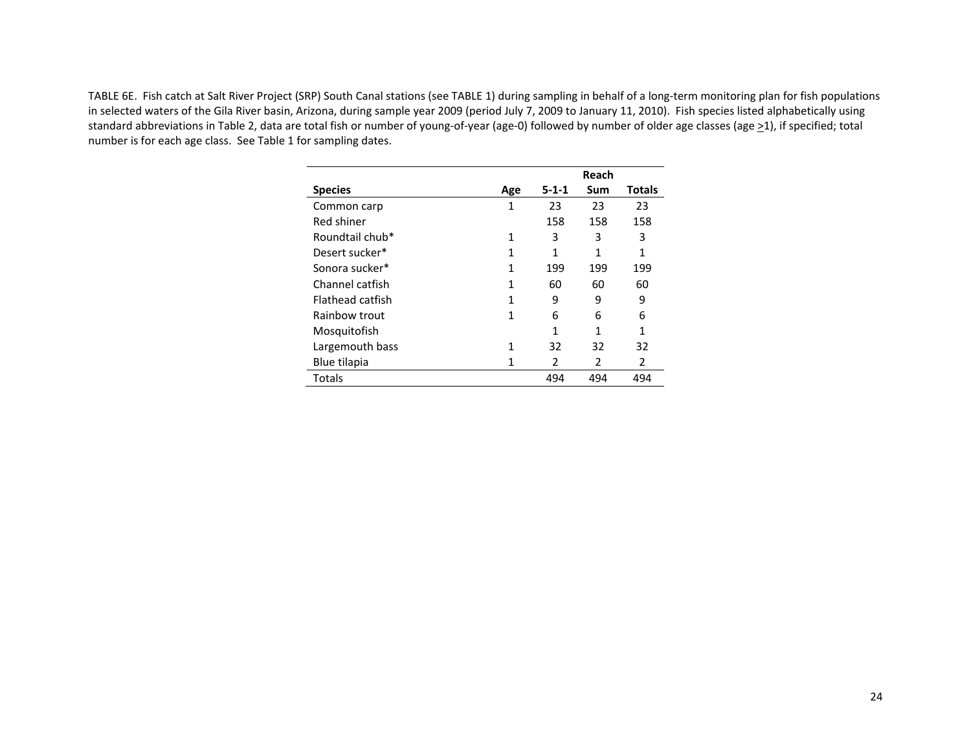TABLE 6E. Fish catch at Salt River Project (SRP) South Canal stations (see TABLE 1) during sampling in behalf of <sup>a</sup> long‐term monitoring plan for fish populations in selected waters of the Gila River basin, Arizona, during sample year 2009 (period July 7, 2009 to January 11, 2010). Fish species listed alphabetically using standard abbreviations in Table 2, data are total fish or number of young-of-year (age-0) followed by number of older age classes (age ≥1), if specified; total number is for each age class. See Table 1 for sampling dates.

|                  |              |               | Reach         |               |
|------------------|--------------|---------------|---------------|---------------|
| <b>Species</b>   | Age          | $5 - 1 - 1$   | Sum           | <b>Totals</b> |
| Common carp      | $\mathbf{1}$ | 23            | 23            | 23            |
| Red shiner       |              | 158           | 158           | 158           |
| Roundtail chub*  | 1            | 3             | 3             | 3             |
| Desert sucker*   | 1            | 1             | 1             | 1             |
| Sonora sucker*   | 1            | 199           | 199           | 199           |
| Channel catfish  | 1            | 60            | 60            | 60            |
| Flathead catfish | 1            | 9             | 9             | 9             |
| Rainbow trout    | 1            | 6             | 6             | 6             |
| Mosquitofish     |              | 1             | 1             | 1             |
| Largemouth bass  | $\mathbf{1}$ | 32            | 32            | 32            |
| Blue tilapia     | 1            | $\mathcal{P}$ | $\mathcal{P}$ | 2             |
| Totals           |              | 494           | 494           | 494           |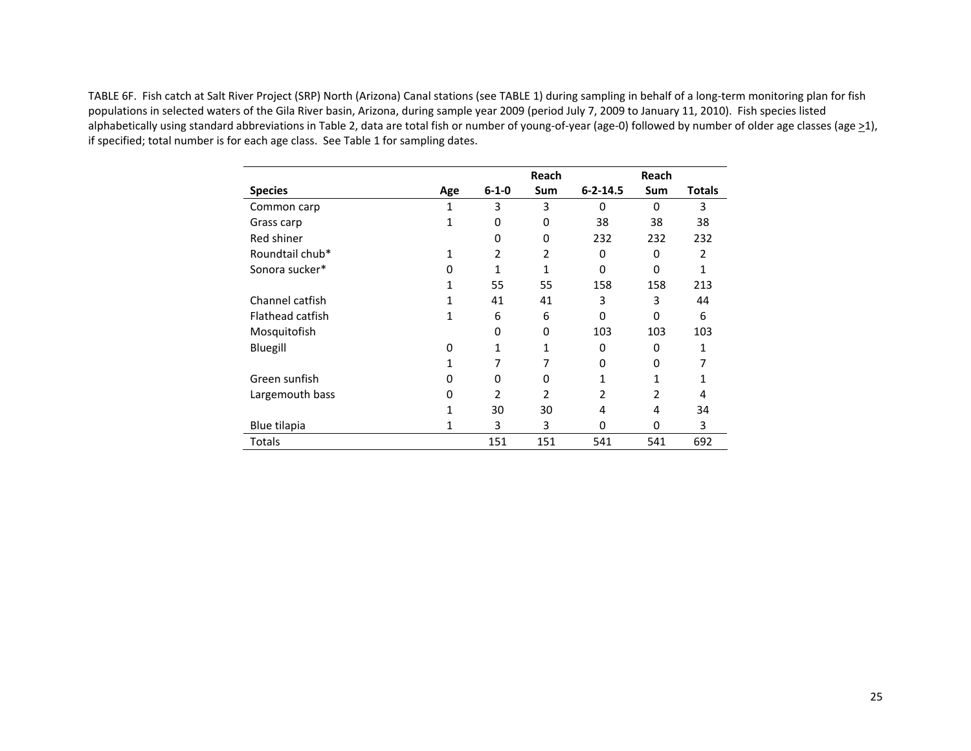TABLE 6F. Fish catch at Salt River Project (SRP) North (Arizona) Canal stations (see TABLE 1) during sampling in behalf of <sup>a</sup> long‐term monitoring plan for fish populations in selected waters of the Gila River basin, Arizona, during sample year 2009 (period July 7, 2009 to January 11, 2010). Fish species listed alphabetically using standard abbreviations in Table 2, data are total fish or number of young-of-year (age-0) followed by number of older age classes (age >1), if specified; total number is for each age class. See Table 1 for sampling dates.

|                  |     |                | Reach          |                | Reach          |              |
|------------------|-----|----------------|----------------|----------------|----------------|--------------|
| <b>Species</b>   | Age | $6 - 1 - 0$    | <b>Sum</b>     | $6 - 2 - 14.5$ | <b>Sum</b>     | Totals       |
| Common carp      | 1   | 3              | 3              | 0              | $\Omega$       | 3            |
| Grass carp       | 1   | 0              | $\Omega$       | 38             | 38             | 38           |
| Red shiner       |     | 0              | 0              | 232            | 232            | 232          |
| Roundtail chub*  | 1   | 2              | 2              | 0              | 0              | 2            |
| Sonora sucker*   | O   | 1              | $\mathbf{1}$   | $\Omega$       | 0              | $\mathbf{1}$ |
|                  | 1   | 55             | 55             | 158            | 158            | 213          |
| Channel catfish  | 1   | 41             | 41             | 3              | 3              | 44           |
| Flathead catfish | 1   | 6              | 6              | $\Omega$       | 0              | 6            |
| Mosquitofish     |     | 0              | 0              | 103            | 103            | 103          |
| Bluegill         | 0   | 1              | 1              | 0              | 0              | 1            |
|                  | 1   | 7              | 7              | 0              | 0              | 7            |
| Green sunfish    | 0   | 0              | 0              | 1              | 1              | 1            |
| Largemouth bass  | 0   | $\mathfrak{p}$ | $\mathfrak{p}$ | 2              | $\mathfrak{p}$ | 4            |
|                  | 1   | 30             | 30             | 4              | 4              | 34           |
| Blue tilapia     | 1   | 3              | 3              | 0              | $\Omega$       | 3            |
| Totals           |     | 151            | 151            | 541            | 541            | 692          |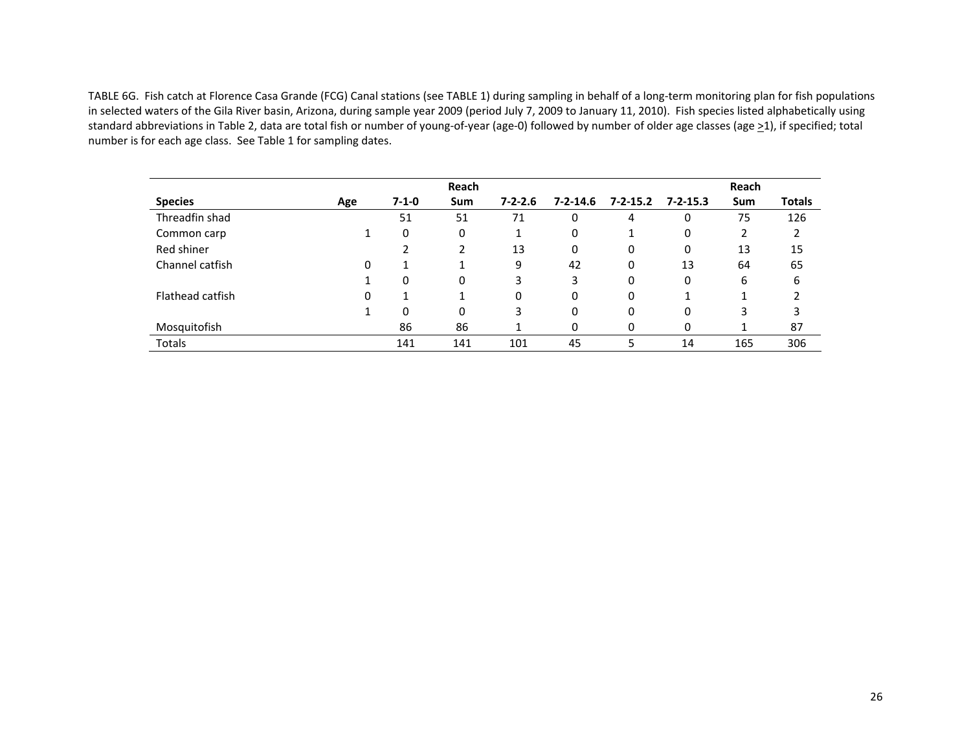TABLE 6G. Fish catch at Florence Casa Grande (FCG) Canal stations (see TABLE 1) during sampling in behalf of <sup>a</sup> long‐term monitoring plan for fish populations in selected waters of the Gila River basin, Arizona, during sample year 2009 (period July 7, 2009 to January 11, 2010). Fish species listed alphabetically using standard abbreviations in Table 2, data are total fish or number of young-of-year (age-0) followed by number of older age classes (age ≥1), if specified; total number is for each age class. See Table 1 for sampling dates.

|                  |     |             | Reach    |               |                |                |                | Reach |               |
|------------------|-----|-------------|----------|---------------|----------------|----------------|----------------|-------|---------------|
| <b>Species</b>   | Age | $7 - 1 - 0$ | Sum      | $7 - 2 - 2.6$ | $7 - 2 - 14.6$ | $7 - 2 - 15.2$ | $7 - 2 - 15.3$ | Sum   | <b>Totals</b> |
| Threadfin shad   |     | 51          | 51       | 71            | 0              | 4              | 0              | 75    | 126           |
| Common carp      |     | 0           | 0        |               | 0              |                | 0              | 2     |               |
| Red shiner       |     | າ           |          | 13            | 0              | 0              | 0              | 13    | 15            |
| Channel catfish  | 0   | 1           |          | 9             | 42             | 0              | 13             | 64    | 65            |
|                  |     | 0           | 0        | 3             | 3              | 0              | 0              | 6     | 6             |
| Flathead catfish | 0   | 1           |          | 0             | 0              | 0              |                |       |               |
|                  |     | 0           | $\Omega$ | 3             | 0              | 0              | 0              | 3     | 3             |
| Mosquitofish     |     | 86          | 86       |               | 0              | 0              | 0              |       | 87            |
| <b>Totals</b>    |     | 141         | 141      | 101           | 45             | 5              | 14             | 165   | 306           |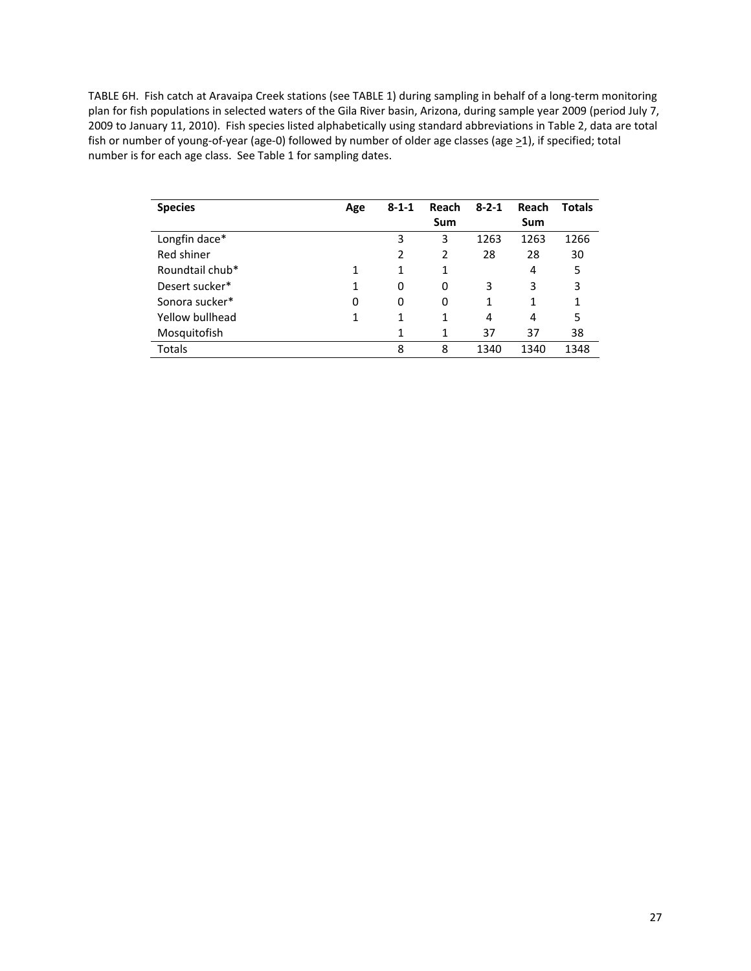TABLE 6H. Fish catch at Aravaipa Creek stations (see TABLE 1) during sampling in behalf of a long‐term monitoring plan for fish populations in selected waters of the Gila River basin, Arizona, during sample year 2009 (period July 7, 2009 to January 11, 2010). Fish species listed alphabetically using standard abbreviations in Table 2, data are total fish or number of young-of-year (age-0) followed by number of older age classes (age ≥1), if specified; total number is for each age class. See Table 1 for sampling dates.

| <b>Species</b>  | Age | $8 - 1 - 1$ | Reach<br>Sum | $8 - 2 - 1$ | Reach<br>Sum | <b>Totals</b> |
|-----------------|-----|-------------|--------------|-------------|--------------|---------------|
|                 |     |             |              |             |              |               |
| Longfin dace*   |     | 3           | 3            | 1263        | 1263         | 1266          |
| Red shiner      |     | 2           | 2            | 28          | 28           | 30            |
| Roundtail chub* | 1   | 1           | 1            |             | 4            | 5             |
| Desert sucker*  | 1   | 0           | 0            | 3           | 3            | 3             |
| Sonora sucker*  | 0   | 0           | 0            | 1           | 1            |               |
| Yellow bullhead | 1   | 1           | 1            | 4           | 4            | 5             |
| Mosquitofish    |     | 1           | 1            | 37          | 37           | 38            |
| Totals          |     | 8           | 8            | 1340        | 1340         | 1348          |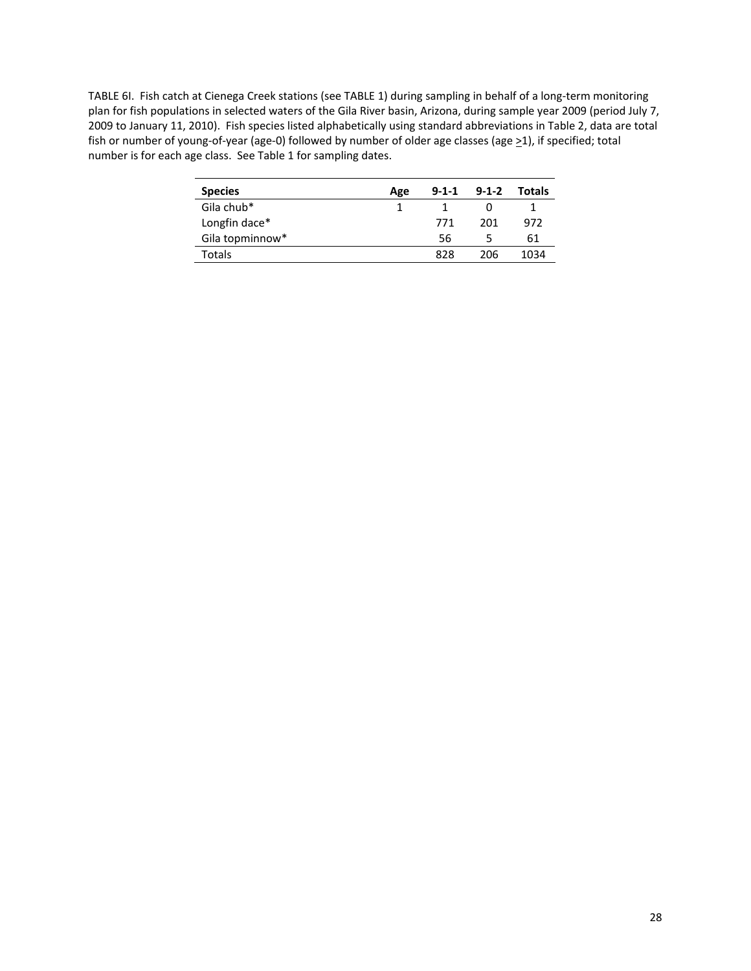TABLE 6I. Fish catch at Cienega Creek stations (see TABLE 1) during sampling in behalf of a long‐term monitoring plan for fish populations in selected waters of the Gila River basin, Arizona, during sample year 2009 (period July 7, 2009 to January 11, 2010). Fish species listed alphabetically using standard abbreviations in Table 2, data are total fish or number of young-of-year (age-0) followed by number of older age classes (age ≥1), if specified; total number is for each age class. See Table 1 for sampling dates.

| <b>Species</b>  | Age | $9 - 1 - 1$ | $9 - 1 - 2$ | Totals |
|-----------------|-----|-------------|-------------|--------|
| Gila chub*      |     |             |             |        |
| Longfin dace*   |     | 771         | 201         | 972    |
| Gila topminnow* |     | 56          |             | 61     |
| Totals          |     | 828         | 206         | 1034   |